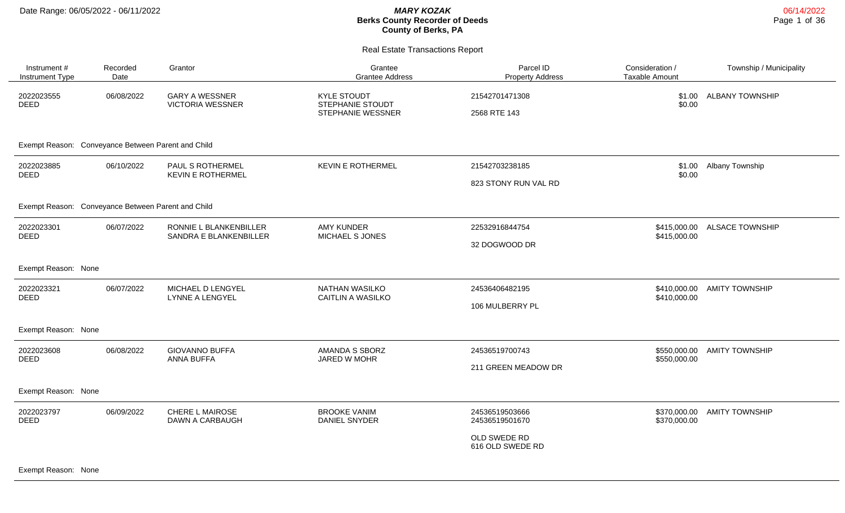| Instrument #<br>Instrument Type | Recorded<br>Date                                   | Grantor                                          | Grantee<br><b>Grantee Address</b>                           | Parcel ID<br><b>Property Address</b>                                 | Consideration /<br>Taxable Amount | Township / Municipality |
|---------------------------------|----------------------------------------------------|--------------------------------------------------|-------------------------------------------------------------|----------------------------------------------------------------------|-----------------------------------|-------------------------|
| 2022023555<br><b>DEED</b>       | 06/08/2022                                         | <b>GARY A WESSNER</b><br><b>VICTORIA WESSNER</b> | <b>KYLE STOUDT</b><br>STEPHANIE STOUDT<br>STEPHANIE WESSNER | 21542701471308<br>2568 RTE 143                                       | \$1.00<br>\$0.00                  | <b>ALBANY TOWNSHIP</b>  |
|                                 | Exempt Reason: Conveyance Between Parent and Child |                                                  |                                                             |                                                                      |                                   |                         |
| 2022023885<br><b>DEED</b>       | 06/10/2022                                         | PAUL S ROTHERMEL<br><b>KEVIN E ROTHERMEL</b>     | <b>KEVIN E ROTHERMEL</b>                                    | 21542703238185<br>823 STONY RUN VAL RD                               | \$1.00<br>\$0.00                  | Albany Township         |
|                                 | Exempt Reason: Conveyance Between Parent and Child |                                                  |                                                             |                                                                      |                                   |                         |
| 2022023301<br><b>DEED</b>       | 06/07/2022                                         | RONNIE L BLANKENBILLER<br>SANDRA E BLANKENBILLER | <b>AMY KUNDER</b><br>MICHAEL S JONES                        | 22532916844754<br>32 DOGWOOD DR                                      | \$415,000.00<br>\$415,000.00      | <b>ALSACE TOWNSHIP</b>  |
| Exempt Reason: None             |                                                    |                                                  |                                                             |                                                                      |                                   |                         |
| 2022023321<br>DEED              | 06/07/2022                                         | MICHAEL D LENGYEL<br>LYNNE A LENGYEL             | NATHAN WASILKO<br><b>CAITLIN A WASILKO</b>                  | 24536406482195<br>106 MULBERRY PL                                    | \$410,000.00<br>\$410,000.00      | <b>AMITY TOWNSHIP</b>   |
| Exempt Reason: None             |                                                    |                                                  |                                                             |                                                                      |                                   |                         |
| 2022023608<br><b>DEED</b>       | 06/08/2022                                         | <b>GIOVANNO BUFFA</b><br>ANNA BUFFA              | AMANDA S SBORZ<br>JARED W MOHR                              | 24536519700743<br>211 GREEN MEADOW DR                                | \$550,000.00<br>\$550,000.00      | <b>AMITY TOWNSHIP</b>   |
| Exempt Reason: None             |                                                    |                                                  |                                                             |                                                                      |                                   |                         |
| 2022023797<br>DEED              | 06/09/2022                                         | CHERE L MAIROSE<br>DAWN A CARBAUGH               | <b>BROOKE VANIM</b><br>DANIEL SNYDER                        | 24536519503666<br>24536519501670<br>OLD SWEDE RD<br>616 OLD SWEDE RD | \$370,000.00<br>\$370,000.00      | <b>AMITY TOWNSHIP</b>   |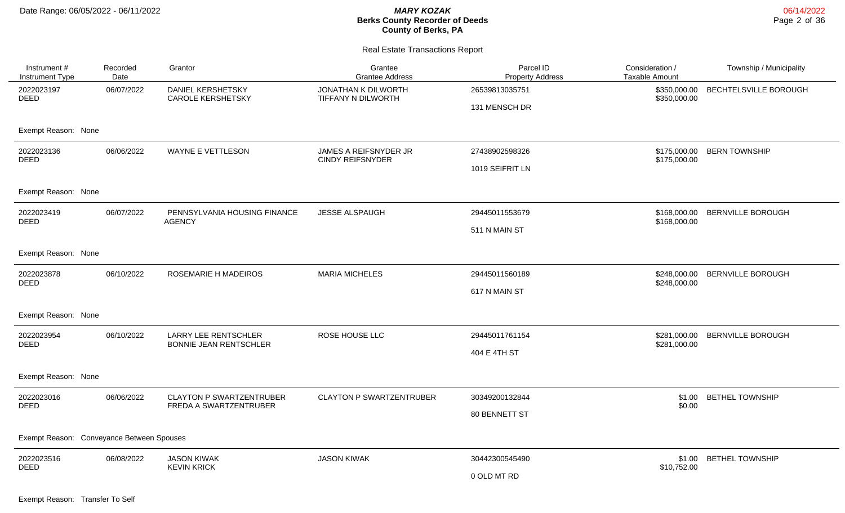| Instrument #<br>Instrument Type           | Recorded<br>Date | Grantor                                                      | Grantee<br><b>Grantee Address</b>                | Parcel ID<br><b>Property Address</b> | Consideration /<br><b>Taxable Amount</b> | Township / Municipality  |
|-------------------------------------------|------------------|--------------------------------------------------------------|--------------------------------------------------|--------------------------------------|------------------------------------------|--------------------------|
| 2022023197<br><b>DEED</b>                 | 06/07/2022       | DANIEL KERSHETSKY<br><b>CAROLE KERSHETSKY</b>                | JONATHAN K DILWORTH<br>TIFFANY N DILWORTH        | 26539813035751                       | \$350,000.00<br>\$350,000.00             | BECHTELSVILLE BOROUGH    |
|                                           |                  |                                                              |                                                  | 131 MENSCH DR                        |                                          |                          |
| Exempt Reason: None                       |                  |                                                              |                                                  |                                      |                                          |                          |
| 2022023136<br><b>DEED</b>                 | 06/06/2022       | WAYNE E VETTLESON                                            | JAMES A REIFSNYDER JR<br><b>CINDY REIFSNYDER</b> | 27438902598326                       | \$175,000.00<br>\$175,000.00             | <b>BERN TOWNSHIP</b>     |
|                                           |                  |                                                              |                                                  | 1019 SEIFRIT LN                      |                                          |                          |
| Exempt Reason: None                       |                  |                                                              |                                                  |                                      |                                          |                          |
| 2022023419                                | 06/07/2022       | PENNSYLVANIA HOUSING FINANCE                                 | JESSE ALSPAUGH                                   | 29445011553679                       | \$168,000.00                             | <b>BERNVILLE BOROUGH</b> |
| <b>DEED</b>                               |                  | <b>AGENCY</b>                                                |                                                  | 511 N MAIN ST                        | \$168,000.00                             |                          |
| Exempt Reason: None                       |                  |                                                              |                                                  |                                      |                                          |                          |
| 2022023878<br><b>DEED</b>                 | 06/10/2022       | <b>ROSEMARIE H MADEIROS</b>                                  | <b>MARIA MICHELES</b>                            | 29445011560189                       | \$248,000.00<br>\$248,000.00             | <b>BERNVILLE BOROUGH</b> |
|                                           |                  |                                                              |                                                  | 617 N MAIN ST                        |                                          |                          |
| Exempt Reason: None                       |                  |                                                              |                                                  |                                      |                                          |                          |
| 2022023954<br><b>DEED</b>                 | 06/10/2022       | <b>LARRY LEE RENTSCHLER</b><br><b>BONNIE JEAN RENTSCHLER</b> | ROSE HOUSE LLC                                   | 29445011761154                       | \$281,000.00                             | <b>BERNVILLE BOROUGH</b> |
|                                           |                  |                                                              |                                                  | 404 E 4TH ST                         | \$281,000.00                             |                          |
| Exempt Reason: None                       |                  |                                                              |                                                  |                                      |                                          |                          |
| 2022023016<br><b>DEED</b>                 | 06/06/2022       | <b>CLAYTON P SWARTZENTRUBER</b><br>FREDA A SWARTZENTRUBER    | <b>CLAYTON P SWARTZENTRUBER</b>                  | 30349200132844                       | \$1.00<br>\$0.00                         | <b>BETHEL TOWNSHIP</b>   |
|                                           |                  |                                                              |                                                  | 80 BENNETT ST                        |                                          |                          |
| Exempt Reason: Conveyance Between Spouses |                  |                                                              |                                                  |                                      |                                          |                          |
| 2022023516                                | 06/08/2022       | <b>JASON KIWAK</b>                                           | <b>JASON KIWAK</b>                               | 30442300545490                       | \$1.00                                   | <b>BETHEL TOWNSHIP</b>   |
| DEED                                      |                  | <b>KEVIN KRICK</b>                                           |                                                  | 0 OLD MT RD                          | \$10,752.00                              |                          |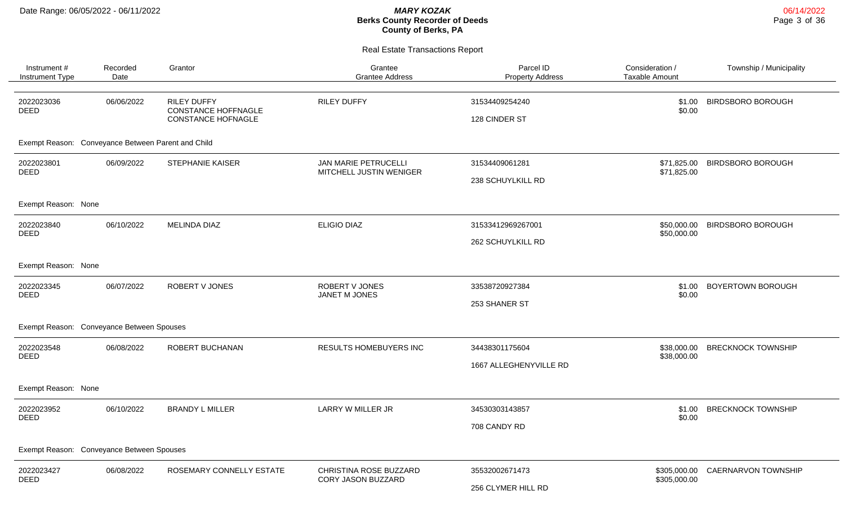| Instrument #<br>Instrument Type                    | Recorded<br>Date | Grantor                                                                       | Grantee<br><b>Grantee Address</b>                      | Parcel ID<br><b>Property Address</b>     | Consideration /<br><b>Taxable Amount</b> | Township / Municipality   |
|----------------------------------------------------|------------------|-------------------------------------------------------------------------------|--------------------------------------------------------|------------------------------------------|------------------------------------------|---------------------------|
| 2022023036<br><b>DEED</b>                          | 06/06/2022       | <b>RILEY DUFFY</b><br><b>CONSTANCE HOFFNAGLE</b><br><b>CONSTANCE HOFNAGLE</b> | <b>RILEY DUFFY</b>                                     | 31534409254240<br>128 CINDER ST          | \$1.00<br>\$0.00                         | <b>BIRDSBORO BOROUGH</b>  |
| Exempt Reason: Conveyance Between Parent and Child |                  |                                                                               |                                                        |                                          |                                          |                           |
| 2022023801<br><b>DEED</b>                          | 06/09/2022       | <b>STEPHANIE KAISER</b>                                                       | <b>JAN MARIE PETRUCELLI</b><br>MITCHELL JUSTIN WENIGER | 31534409061281<br>238 SCHUYLKILL RD      | \$71,825.00<br>\$71,825.00               | <b>BIRDSBORO BOROUGH</b>  |
| Exempt Reason: None                                |                  |                                                                               |                                                        |                                          |                                          |                           |
| 2022023840<br><b>DEED</b>                          | 06/10/2022       | <b>MELINDA DIAZ</b>                                                           | <b>ELIGIO DIAZ</b>                                     | 31533412969267001<br>262 SCHUYLKILL RD   | \$50,000.00<br>\$50,000.00               | <b>BIRDSBORO BOROUGH</b>  |
| Exempt Reason: None                                |                  |                                                                               |                                                        |                                          |                                          |                           |
| 2022023345<br><b>DEED</b>                          | 06/07/2022       | <b>ROBERT V JONES</b>                                                         | ROBERT V JONES<br>JANET M JONES                        | 33538720927384<br>253 SHANER ST          | \$1.00<br>\$0.00                         | <b>BOYERTOWN BOROUGH</b>  |
| Exempt Reason: Conveyance Between Spouses          |                  |                                                                               |                                                        |                                          |                                          |                           |
| 2022023548<br>DEED                                 | 06/08/2022       | ROBERT BUCHANAN                                                               | RESULTS HOMEBUYERS INC                                 | 34438301175604<br>1667 ALLEGHENYVILLE RD | \$38,000.00<br>\$38,000.00               | <b>BRECKNOCK TOWNSHIP</b> |
| Exempt Reason: None                                |                  |                                                                               |                                                        |                                          |                                          |                           |
| 2022023952<br><b>DEED</b>                          | 06/10/2022       | <b>BRANDY L MILLER</b>                                                        | <b>LARRY W MILLER JR</b>                               | 34530303143857<br>708 CANDY RD           | \$1.00<br>\$0.00                         | <b>BRECKNOCK TOWNSHIP</b> |
| Exempt Reason: Conveyance Between Spouses          |                  |                                                                               |                                                        |                                          |                                          |                           |
| 2022023427<br><b>DEED</b>                          | 06/08/2022       | ROSEMARY CONNELLY ESTATE                                                      | CHRISTINA ROSE BUZZARD<br>CORY JASON BUZZARD           | 35532002671473<br>256 CLYMER HILL RD     | \$305,000.00<br>\$305,000.00             | CAERNARVON TOWNSHIP       |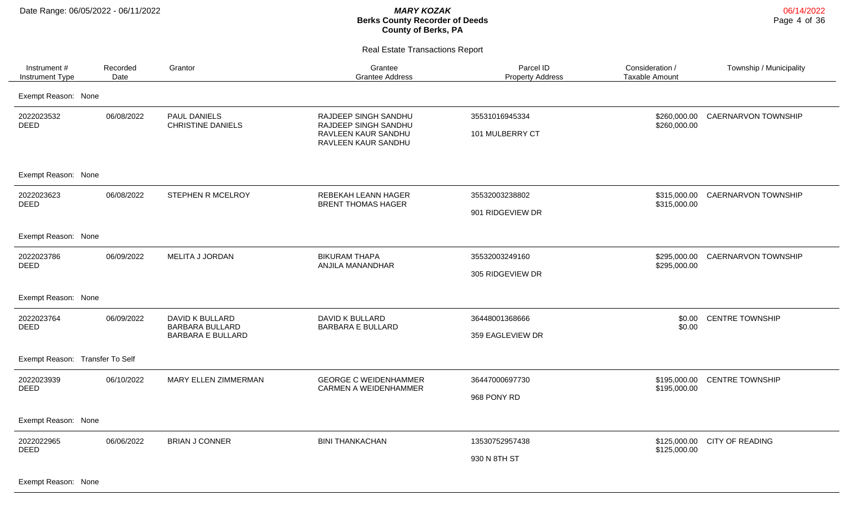Real Estate Transactions Report

| Instrument #<br>Instrument Type | Recorded<br>Date | Grantor                                                               | Grantee<br><b>Grantee Address</b>                                                          | Parcel ID<br><b>Property Address</b> | Consideration /<br><b>Taxable Amount</b> | Township / Municipality    |
|---------------------------------|------------------|-----------------------------------------------------------------------|--------------------------------------------------------------------------------------------|--------------------------------------|------------------------------------------|----------------------------|
| Exempt Reason: None             |                  |                                                                       |                                                                                            |                                      |                                          |                            |
| 2022023532<br><b>DEED</b>       | 06/08/2022       | PAUL DANIELS<br><b>CHRISTINE DANIELS</b>                              | RAJDEEP SINGH SANDHU<br>RAJDEEP SINGH SANDHU<br>RAVLEEN KAUR SANDHU<br>RAVLEEN KAUR SANDHU | 35531016945334<br>101 MULBERRY CT    | \$260,000.00<br>\$260,000.00             | CAERNARVON TOWNSHIP        |
| Exempt Reason: None             |                  |                                                                       |                                                                                            |                                      |                                          |                            |
| 2022023623<br>DEED              | 06/08/2022       | STEPHEN R MCELROY                                                     | REBEKAH LEANN HAGER<br><b>BRENT THOMAS HAGER</b>                                           | 35532003238802<br>901 RIDGEVIEW DR   | \$315,000.00<br>\$315,000.00             | <b>CAERNARVON TOWNSHIP</b> |
| Exempt Reason: None             |                  |                                                                       |                                                                                            |                                      |                                          |                            |
| 2022023786<br><b>DEED</b>       | 06/09/2022       | MELITA J JORDAN                                                       | <b>BIKURAM THAPA</b><br>ANJILA MANANDHAR                                                   | 35532003249160<br>305 RIDGEVIEW DR   | \$295,000.00<br>\$295,000.00             | CAERNARVON TOWNSHIP        |
| Exempt Reason: None             |                  |                                                                       |                                                                                            |                                      |                                          |                            |
| 2022023764<br><b>DEED</b>       | 06/09/2022       | DAVID K BULLARD<br><b>BARBARA BULLARD</b><br><b>BARBARA E BULLARD</b> | DAVID K BULLARD<br><b>BARBARA E BULLARD</b>                                                | 36448001368666<br>359 EAGLEVIEW DR   | \$0.00<br>\$0.00                         | <b>CENTRE TOWNSHIP</b>     |
| Exempt Reason: Transfer To Self |                  |                                                                       |                                                                                            |                                      |                                          |                            |
| 2022023939<br><b>DEED</b>       | 06/10/2022       | MARY ELLEN ZIMMERMAN                                                  | <b>GEORGE C WEIDENHAMMER</b><br>CARMEN A WEIDENHAMMER                                      | 36447000697730<br>968 PONY RD        | \$195,000.00<br>\$195,000.00             | <b>CENTRE TOWNSHIP</b>     |
| Exempt Reason: None             |                  |                                                                       |                                                                                            |                                      |                                          |                            |
| 2022022965<br><b>DEED</b>       | 06/06/2022       | <b>BRIAN J CONNER</b>                                                 | <b>BINI THANKACHAN</b>                                                                     | 13530752957438<br>930 N 8TH ST       | \$125,000.00<br>\$125,000.00             | <b>CITY OF READING</b>     |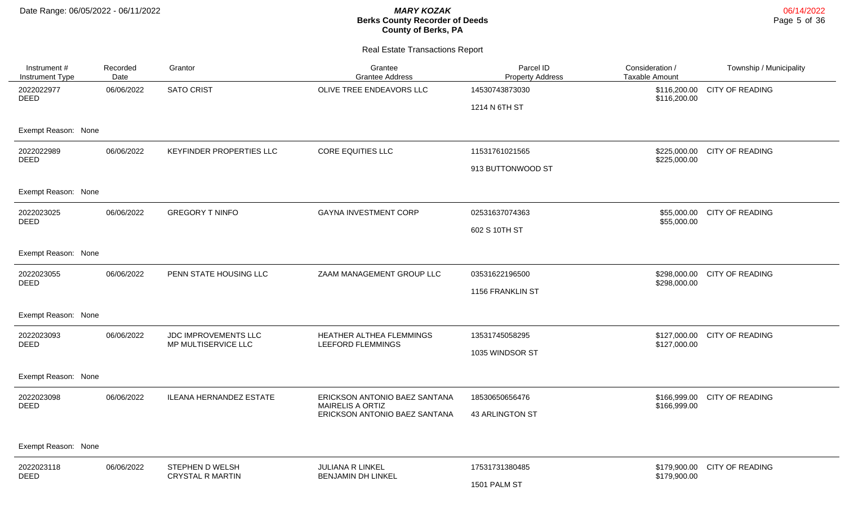| Instrument #<br>Instrument Type | Recorded<br>Date | Grantor                                    | Grantee<br><b>Grantee Address</b>                        | Parcel ID<br><b>Property Address</b> | Consideration /<br><b>Taxable Amount</b> | Township / Municipality      |
|---------------------------------|------------------|--------------------------------------------|----------------------------------------------------------|--------------------------------------|------------------------------------------|------------------------------|
| 2022022977<br><b>DEED</b>       | 06/06/2022       | <b>SATO CRIST</b>                          | OLIVE TREE ENDEAVORS LLC                                 | 14530743873030                       | \$116,200.00<br>\$116,200.00             | <b>CITY OF READING</b>       |
|                                 |                  |                                            |                                                          | 1214 N 6TH ST                        |                                          |                              |
| Exempt Reason: None             |                  |                                            |                                                          |                                      |                                          |                              |
| 2022022989<br><b>DEED</b>       | 06/06/2022       | <b>KEYFINDER PROPERTIES LLC</b>            | <b>CORE EQUITIES LLC</b>                                 | 11531761021565                       | \$225,000.00                             | \$225,000.00 CITY OF READING |
|                                 |                  |                                            |                                                          | 913 BUTTONWOOD ST                    |                                          |                              |
| Exempt Reason: None             |                  |                                            |                                                          |                                      |                                          |                              |
| 2022023025                      | 06/06/2022       | <b>GREGORY T NINFO</b>                     | <b>GAYNA INVESTMENT CORP</b>                             | 02531637074363                       |                                          | \$55,000.00 CITY OF READING  |
| DEED                            |                  |                                            |                                                          | 602 S 10TH ST                        | \$55,000.00                              |                              |
| Exempt Reason: None             |                  |                                            |                                                          |                                      |                                          |                              |
| 2022023055                      | 06/06/2022       | PENN STATE HOUSING LLC                     | ZAAM MANAGEMENT GROUP LLC                                | 03531622196500                       | \$298,000.00                             | CITY OF READING              |
| <b>DEED</b>                     |                  |                                            |                                                          | 1156 FRANKLIN ST                     | \$298,000.00                             |                              |
| Exempt Reason: None             |                  |                                            |                                                          |                                      |                                          |                              |
| 2022023093<br><b>DEED</b>       | 06/06/2022       | <b>JDC IMPROVEMENTS LLC</b>                | HEATHER ALTHEA FLEMMINGS                                 | 13531745058295                       |                                          | \$127,000.00 CITY OF READING |
|                                 |                  | MP MULTISERVICE LLC                        | LEEFORD FLEMMINGS                                        | 1035 WINDSOR ST                      | \$127,000.00                             |                              |
| Exempt Reason: None             |                  |                                            |                                                          |                                      |                                          |                              |
| 2022023098<br>DEED              | 06/06/2022       | <b>ILEANA HERNANDEZ ESTATE</b>             | ERICKSON ANTONIO BAEZ SANTANA<br><b>MAIRELIS A ORTIZ</b> | 18530650656476                       | \$166,999.00<br>\$166,999.00             | <b>CITY OF READING</b>       |
|                                 |                  |                                            | ERICKSON ANTONIO BAEZ SANTANA                            | 43 ARLINGTON ST                      |                                          |                              |
|                                 |                  |                                            |                                                          |                                      |                                          |                              |
| Exempt Reason: None             |                  |                                            |                                                          |                                      |                                          |                              |
| 2022023118<br>DEED              | 06/06/2022       | STEPHEN D WELSH<br><b>CRYSTAL R MARTIN</b> | <b>JULIANA R LINKEL</b><br><b>BENJAMIN DH LINKEL</b>     | 17531731380485                       | \$179,900.00                             | \$179,900.00 CITY OF READING |
|                                 |                  |                                            |                                                          | 1501 PALM ST                         |                                          |                              |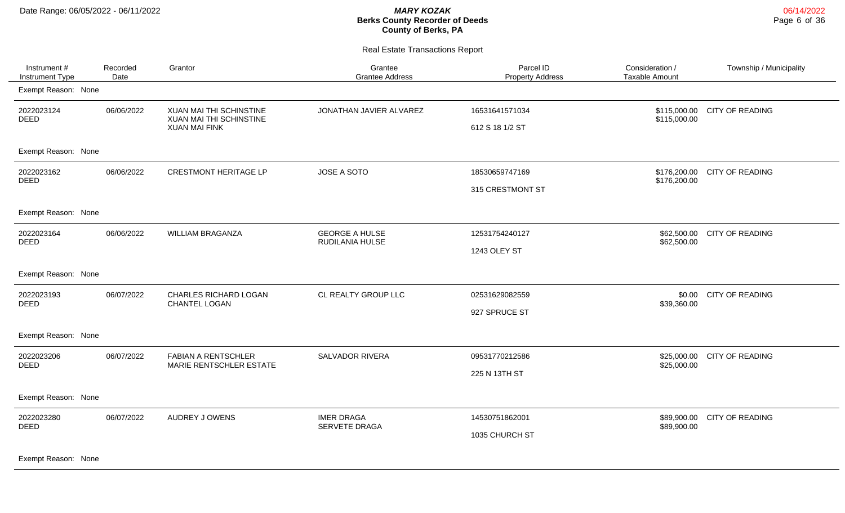Real Estate Transactions Report

| Instrument #<br>Instrument Type | Recorded<br>Date | Grantor                                                | Grantee<br><b>Grantee Address</b>        | Parcel ID<br><b>Property Address</b> | Consideration /<br>Taxable Amount | Township / Municipality |
|---------------------------------|------------------|--------------------------------------------------------|------------------------------------------|--------------------------------------|-----------------------------------|-------------------------|
| Exempt Reason: None             |                  |                                                        |                                          |                                      |                                   |                         |
| 2022023124                      | 06/06/2022       | XUAN MAI THI SCHINSTINE                                | JONATHAN JAVIER ALVAREZ                  | 16531641571034                       | \$115,000.00                      | <b>CITY OF READING</b>  |
| <b>DEED</b>                     |                  | <b>XUAN MAI THI SCHINSTINE</b><br><b>XUAN MAI FINK</b> |                                          | 612 S 18 1/2 ST                      | \$115,000.00                      |                         |
| Exempt Reason: None             |                  |                                                        |                                          |                                      |                                   |                         |
| 2022023162<br><b>DEED</b>       | 06/06/2022       | <b>CRESTMONT HERITAGE LP</b>                           | JOSE A SOTO                              | 18530659747169                       | \$176,200.00                      | <b>CITY OF READING</b>  |
|                                 |                  |                                                        |                                          | 315 CRESTMONT ST                     | \$176,200.00                      |                         |
| Exempt Reason: None             |                  |                                                        |                                          |                                      |                                   |                         |
| 2022023164<br><b>DEED</b>       | 06/06/2022       | WILLIAM BRAGANZA                                       | <b>GEORGE A HULSE</b><br>RUDILANIA HULSE | 12531754240127                       | \$62,500.00<br>\$62,500.00        | <b>CITY OF READING</b>  |
|                                 |                  |                                                        |                                          | 1243 OLEY ST                         |                                   |                         |
| Exempt Reason: None             |                  |                                                        |                                          |                                      |                                   |                         |
| 2022023193<br><b>DEED</b>       | 06/07/2022       | CHARLES RICHARD LOGAN<br>CHANTEL LOGAN                 | CL REALTY GROUP LLC                      | 02531629082559                       | \$0.00<br>\$39,360.00             | <b>CITY OF READING</b>  |
|                                 |                  |                                                        |                                          | 927 SPRUCE ST                        |                                   |                         |
| Exempt Reason: None             |                  |                                                        |                                          |                                      |                                   |                         |
| 2022023206<br><b>DEED</b>       | 06/07/2022       | <b>FABIAN A RENTSCHLER</b><br>MARIE RENTSCHLER ESTATE  | <b>SALVADOR RIVERA</b>                   | 09531770212586                       | \$25,000.00<br>\$25,000.00        | <b>CITY OF READING</b>  |
|                                 |                  |                                                        |                                          | 225 N 13TH ST                        |                                   |                         |
| Exempt Reason: None             |                  |                                                        |                                          |                                      |                                   |                         |
| 2022023280<br><b>DEED</b>       | 06/07/2022       | AUDREY J OWENS                                         | <b>IMER DRAGA</b><br>SERVETE DRAGA       | 14530751862001                       | \$89,900.00                       | <b>CITY OF READING</b>  |
|                                 |                  |                                                        |                                          | 1035 CHURCH ST                       | \$89,900.00                       |                         |
| Exempt Reason: None             |                  |                                                        |                                          |                                      |                                   |                         |

06/14/2022 Page 6 of 36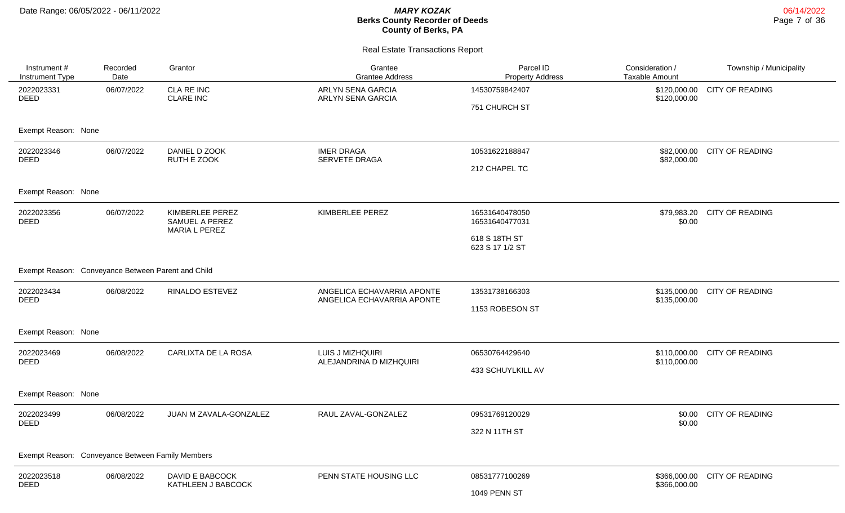| Instrument #<br>Instrument Type                    | Recorded<br>Date     | Grantor                               | Grantee<br><b>Grantee Address</b>                        | Parcel ID<br><b>Property Address</b> | Consideration /<br>Taxable Amount | Township / Municipality |
|----------------------------------------------------|----------------------|---------------------------------------|----------------------------------------------------------|--------------------------------------|-----------------------------------|-------------------------|
| 2022023331<br><b>DEED</b>                          | 06/07/2022           | CLA RE INC<br><b>CLARE INC</b>        | <b>ARLYN SENA GARCIA</b><br><b>ARLYN SENA GARCIA</b>     | 14530759842407<br>751 CHURCH ST      | \$120,000.00<br>\$120,000.00      | <b>CITY OF READING</b>  |
| Exempt Reason: None                                |                      |                                       |                                                          |                                      |                                   |                         |
| 2022023346<br><b>DEED</b>                          | 06/07/2022           | DANIEL D ZOOK<br>RUTH E ZOOK          | <b>IMER DRAGA</b><br>SERVETE DRAGA                       | 10531622188847                       | \$82,000.00<br>\$82,000.00        | <b>CITY OF READING</b>  |
|                                                    |                      |                                       |                                                          | 212 CHAPEL TC                        |                                   |                         |
| Exempt Reason: None                                |                      |                                       |                                                          |                                      |                                   |                         |
| 2022023356<br>DEED                                 | 06/07/2022           | KIMBERLEE PEREZ<br>SAMUEL A PEREZ     | KIMBERLEE PEREZ                                          | 16531640478050<br>16531640477031     | \$79,983.20<br>\$0.00             | <b>CITY OF READING</b>  |
|                                                    | <b>MARIA L PEREZ</b> |                                       |                                                          | 618 S 18TH ST<br>623 S 17 1/2 ST     |                                   |                         |
| Exempt Reason: Conveyance Between Parent and Child |                      |                                       |                                                          |                                      |                                   |                         |
| 2022023434<br><b>DEED</b>                          | 06/08/2022           | RINALDO ESTEVEZ                       | ANGELICA ECHAVARRIA APONTE<br>ANGELICA ECHAVARRIA APONTE | 13531738166303                       | \$135,000.00<br>\$135,000.00      | <b>CITY OF READING</b>  |
|                                                    |                      |                                       |                                                          | 1153 ROBESON ST                      |                                   |                         |
| Exempt Reason: None                                |                      |                                       |                                                          |                                      |                                   |                         |
| 2022023469<br>DEED                                 | 06/08/2022           | CARLIXTA DE LA ROSA                   | LUIS J MIZHQUIRI<br>ALEJANDRINA D MIZHQUIRI              | 06530764429640                       | \$110,000.00<br>\$110,000.00      | <b>CITY OF READING</b>  |
|                                                    |                      |                                       |                                                          | 433 SCHUYLKILL AV                    |                                   |                         |
| Exempt Reason: None                                |                      |                                       |                                                          |                                      |                                   |                         |
| 2022023499<br><b>DEED</b>                          | 06/08/2022           | JUAN M ZAVALA-GONZALEZ                | RAUL ZAVAL-GONZALEZ                                      | 09531769120029                       | \$0.00<br>\$0.00                  | <b>CITY OF READING</b>  |
|                                                    |                      |                                       |                                                          | 322 N 11TH ST                        |                                   |                         |
| Exempt Reason: Conveyance Between Family Members   |                      |                                       |                                                          |                                      |                                   |                         |
| 2022023518<br><b>DEED</b>                          | 06/08/2022           | DAVID E BABCOCK<br>KATHLEEN J BABCOCK | PENN STATE HOUSING LLC                                   | 08531777100269                       | \$366,000.00<br>\$366,000.00      | <b>CITY OF READING</b>  |
|                                                    |                      |                                       |                                                          | 1049 PENN ST                         |                                   |                         |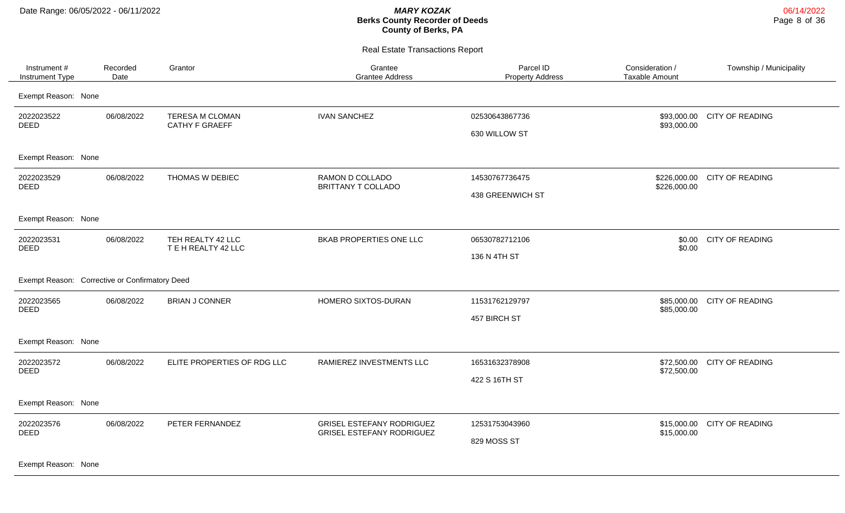Real Estate Transactions Report

| Exempt Reason: None<br><b>TERESA M CLOMAN</b><br><b>IVAN SANCHEZ</b><br>2022023522<br>06/08/2022<br>02530643867736<br>\$93,000.00 CITY OF READING<br><b>DEED</b><br><b>CATHY F GRAEFF</b><br>\$93,000.00<br>630 WILLOW ST<br>Exempt Reason: None<br>06/08/2022<br>THOMAS W DEBIEC<br>RAMON D COLLADO<br>14530767736475<br>CITY OF READING<br>2022023529<br>\$226,000.00<br><b>DEED</b><br>BRITTANY T COLLADO<br>\$226,000.00<br>438 GREENWICH ST<br>Exempt Reason: None<br>BKAB PROPERTIES ONE LLC<br><b>CITY OF READING</b><br>2022023531<br>06/08/2022<br>TEH REALTY 42 LLC<br>06530782712106<br>\$0.00<br><b>DEED</b><br>TEH REALTY 42 LLC<br>\$0.00<br>136 N 4TH ST<br>Exempt Reason: Corrective or Confirmatory Deed<br>2022023565<br>06/08/2022<br><b>BRIAN J CONNER</b><br>HOMERO SIXTOS-DURAN<br>11531762129797<br>\$85,000.00<br>CITY OF READING<br>DEED<br>\$85,000.00<br>457 BIRCH ST<br>Exempt Reason: None<br>2022023572<br>06/08/2022<br>ELITE PROPERTIES OF RDG LLC<br>RAMIEREZ INVESTMENTS LLC<br>16531632378908<br>\$72,500.00 CITY OF READING<br><b>DEED</b><br>\$72,500.00<br>422 S 16TH ST<br>Exempt Reason: None<br>CITY OF READING<br>2022023576<br>06/08/2022<br>PETER FERNANDEZ<br><b>GRISEL ESTEFANY RODRIGUEZ</b><br>12531753043960<br>\$15,000.00<br><b>DEED</b><br><b>GRISEL ESTEFANY RODRIGUEZ</b><br>\$15,000.00<br>829 MOSS ST | Instrument #<br>Instrument Type | Recorded<br>Date | Grantor | Grantee<br><b>Grantee Address</b> | Parcel ID<br><b>Property Address</b> | Consideration /<br><b>Taxable Amount</b> | Township / Municipality |
|---------------------------------------------------------------------------------------------------------------------------------------------------------------------------------------------------------------------------------------------------------------------------------------------------------------------------------------------------------------------------------------------------------------------------------------------------------------------------------------------------------------------------------------------------------------------------------------------------------------------------------------------------------------------------------------------------------------------------------------------------------------------------------------------------------------------------------------------------------------------------------------------------------------------------------------------------------------------------------------------------------------------------------------------------------------------------------------------------------------------------------------------------------------------------------------------------------------------------------------------------------------------------------------------------------------------------------------------------------------|---------------------------------|------------------|---------|-----------------------------------|--------------------------------------|------------------------------------------|-------------------------|
|                                                                                                                                                                                                                                                                                                                                                                                                                                                                                                                                                                                                                                                                                                                                                                                                                                                                                                                                                                                                                                                                                                                                                                                                                                                                                                                                                               |                                 |                  |         |                                   |                                      |                                          |                         |
|                                                                                                                                                                                                                                                                                                                                                                                                                                                                                                                                                                                                                                                                                                                                                                                                                                                                                                                                                                                                                                                                                                                                                                                                                                                                                                                                                               |                                 |                  |         |                                   |                                      |                                          |                         |
|                                                                                                                                                                                                                                                                                                                                                                                                                                                                                                                                                                                                                                                                                                                                                                                                                                                                                                                                                                                                                                                                                                                                                                                                                                                                                                                                                               |                                 |                  |         |                                   |                                      |                                          |                         |
|                                                                                                                                                                                                                                                                                                                                                                                                                                                                                                                                                                                                                                                                                                                                                                                                                                                                                                                                                                                                                                                                                                                                                                                                                                                                                                                                                               |                                 |                  |         |                                   |                                      |                                          |                         |
|                                                                                                                                                                                                                                                                                                                                                                                                                                                                                                                                                                                                                                                                                                                                                                                                                                                                                                                                                                                                                                                                                                                                                                                                                                                                                                                                                               |                                 |                  |         |                                   |                                      |                                          |                         |
|                                                                                                                                                                                                                                                                                                                                                                                                                                                                                                                                                                                                                                                                                                                                                                                                                                                                                                                                                                                                                                                                                                                                                                                                                                                                                                                                                               |                                 |                  |         |                                   |                                      |                                          |                         |
|                                                                                                                                                                                                                                                                                                                                                                                                                                                                                                                                                                                                                                                                                                                                                                                                                                                                                                                                                                                                                                                                                                                                                                                                                                                                                                                                                               |                                 |                  |         |                                   |                                      |                                          |                         |
|                                                                                                                                                                                                                                                                                                                                                                                                                                                                                                                                                                                                                                                                                                                                                                                                                                                                                                                                                                                                                                                                                                                                                                                                                                                                                                                                                               |                                 |                  |         |                                   |                                      |                                          |                         |
|                                                                                                                                                                                                                                                                                                                                                                                                                                                                                                                                                                                                                                                                                                                                                                                                                                                                                                                                                                                                                                                                                                                                                                                                                                                                                                                                                               |                                 |                  |         |                                   |                                      |                                          |                         |
|                                                                                                                                                                                                                                                                                                                                                                                                                                                                                                                                                                                                                                                                                                                                                                                                                                                                                                                                                                                                                                                                                                                                                                                                                                                                                                                                                               |                                 |                  |         |                                   |                                      |                                          |                         |
|                                                                                                                                                                                                                                                                                                                                                                                                                                                                                                                                                                                                                                                                                                                                                                                                                                                                                                                                                                                                                                                                                                                                                                                                                                                                                                                                                               |                                 |                  |         |                                   |                                      |                                          |                         |
| Exempt Reason: None                                                                                                                                                                                                                                                                                                                                                                                                                                                                                                                                                                                                                                                                                                                                                                                                                                                                                                                                                                                                                                                                                                                                                                                                                                                                                                                                           |                                 |                  |         |                                   |                                      |                                          |                         |

06/14/2022 Page 8 of 36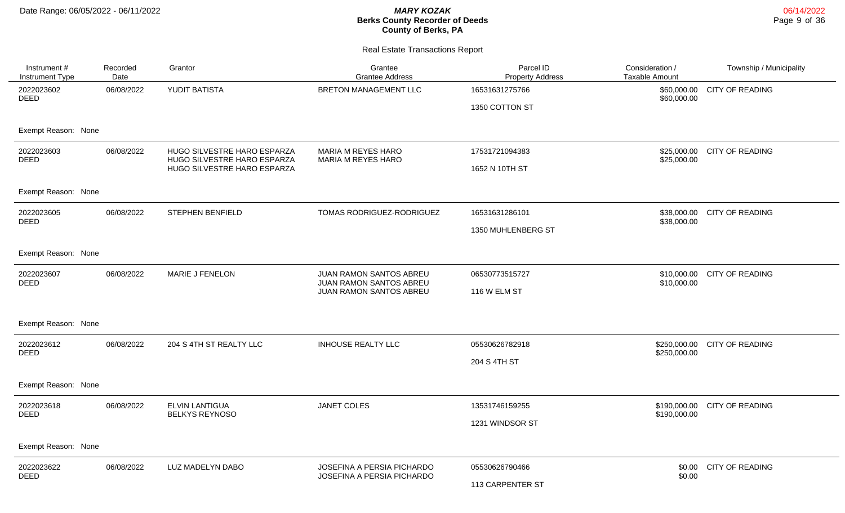| Instrument #<br><b>Instrument Type</b> | Recorded<br>Date | Grantor                                                    | Grantee<br><b>Grantee Address</b>                        | Parcel ID<br><b>Property Address</b> | Consideration /<br>Taxable Amount | Township / Municipality |
|----------------------------------------|------------------|------------------------------------------------------------|----------------------------------------------------------|--------------------------------------|-----------------------------------|-------------------------|
| 2022023602<br><b>DEED</b>              | 06/08/2022       | YUDIT BATISTA                                              | <b>BRETON MANAGEMENT LLC</b>                             | 16531631275766<br>1350 COTTON ST     | \$60,000.00<br>\$60,000.00        | <b>CITY OF READING</b>  |
| Exempt Reason: None                    |                  |                                                            |                                                          |                                      |                                   |                         |
| 2022023603<br><b>DEED</b>              | 06/08/2022       | HUGO SILVESTRE HARO ESPARZA<br>HUGO SILVESTRE HARO ESPARZA | MARIA M REYES HARO<br>MARIA M REYES HARO                 | 17531721094383                       | \$25,000.00<br>\$25,000.00        | <b>CITY OF READING</b>  |
|                                        |                  | HUGO SILVESTRE HARO ESPARZA                                |                                                          | 1652 N 10TH ST                       |                                   |                         |
| Exempt Reason: None                    |                  |                                                            |                                                          |                                      |                                   |                         |
| 2022023605<br><b>DEED</b>              | 06/08/2022       | <b>STEPHEN BENFIELD</b>                                    | TOMAS RODRIGUEZ-RODRIGUEZ                                | 16531631286101                       | \$38,000.00<br>\$38,000.00        | <b>CITY OF READING</b>  |
|                                        |                  |                                                            |                                                          | 1350 MUHLENBERG ST                   |                                   |                         |
| Exempt Reason: None                    |                  |                                                            |                                                          |                                      |                                   |                         |
| 2022023607                             | 06/08/2022       | MARIE J FENELON                                            | JUAN RAMON SANTOS ABREU                                  | 06530773515727                       | \$10,000.00                       | <b>CITY OF READING</b>  |
| <b>DEED</b>                            |                  |                                                            | JUAN RAMON SANTOS ABREU<br>JUAN RAMON SANTOS ABREU       | <b>116 W ELM ST</b>                  | \$10,000.00                       |                         |
| Exempt Reason: None                    |                  |                                                            |                                                          |                                      |                                   |                         |
| 2022023612                             | 06/08/2022       | 204 S 4TH ST REALTY LLC                                    | <b>INHOUSE REALTY LLC</b>                                | 05530626782918                       | \$250,000.00                      | <b>CITY OF READING</b>  |
| <b>DEED</b>                            |                  |                                                            |                                                          | 204 S 4TH ST                         | \$250,000.00                      |                         |
| Exempt Reason: None                    |                  |                                                            |                                                          |                                      |                                   |                         |
| 2022023618                             | 06/08/2022       | <b>ELVIN LANTIGUA</b>                                      | JANET COLES                                              | 13531746159255                       | \$190,000.00                      | <b>CITY OF READING</b>  |
| <b>DEED</b>                            |                  | <b>BELKYS REYNOSO</b>                                      |                                                          | 1231 WINDSOR ST                      | \$190,000.00                      |                         |
| Exempt Reason: None                    |                  |                                                            |                                                          |                                      |                                   |                         |
| 2022023622<br><b>DEED</b>              | 06/08/2022       | LUZ MADELYN DABO                                           | JOSEFINA A PERSIA PICHARDO<br>JOSEFINA A PERSIA PICHARDO | 05530626790466                       | \$0.00<br>\$0.00                  | CITY OF READING         |
|                                        |                  |                                                            |                                                          | 113 CARPENTER ST                     |                                   |                         |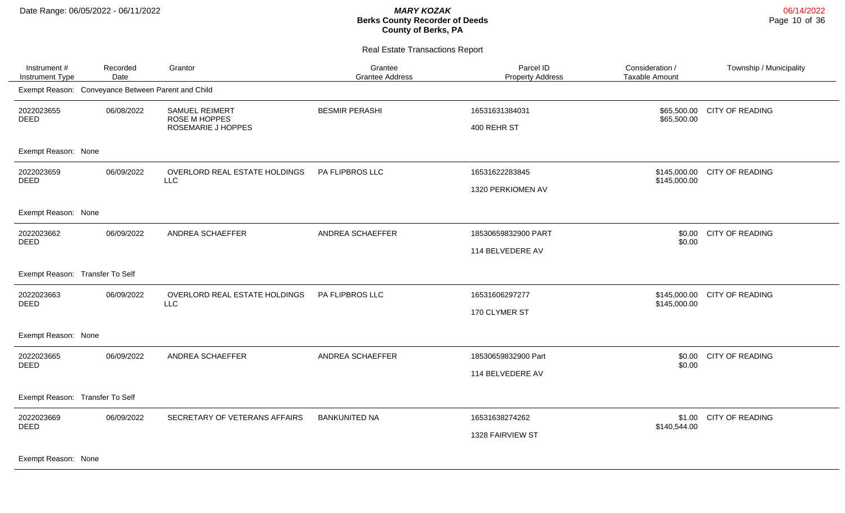Real Estate Transactions Report

| Instrument #<br><b>Instrument Type</b> | Recorded<br>Date                                   | Grantor                                | Grantee<br><b>Grantee Address</b> | Parcel ID<br><b>Property Address</b> | Consideration /<br><b>Taxable Amount</b> | Township / Municipality      |
|----------------------------------------|----------------------------------------------------|----------------------------------------|-----------------------------------|--------------------------------------|------------------------------------------|------------------------------|
|                                        | Exempt Reason: Conveyance Between Parent and Child |                                        |                                   |                                      |                                          |                              |
| 2022023655<br>DEED                     | 06/08/2022                                         | <b>SAMUEL REIMERT</b><br>ROSE M HOPPES | <b>BESMIR PERASHI</b>             | 16531631384031                       | \$65,500.00                              | \$65,500.00 CITY OF READING  |
|                                        |                                                    | ROSEMARIE J HOPPES                     |                                   | 400 REHR ST                          |                                          |                              |
| Exempt Reason: None                    |                                                    |                                        |                                   |                                      |                                          |                              |
| 2022023659                             | 06/09/2022                                         | OVERLORD REAL ESTATE HOLDINGS          | PA FLIPBROS LLC                   | 16531622283845                       | \$145,000.00                             | <b>CITY OF READING</b>       |
| <b>DEED</b>                            |                                                    | <b>LLC</b>                             |                                   | 1320 PERKIOMEN AV                    | \$145,000.00                             |                              |
| Exempt Reason: None                    |                                                    |                                        |                                   |                                      |                                          |                              |
| 2022023662<br><b>DEED</b>              | 06/09/2022                                         | ANDREA SCHAEFFER                       | ANDREA SCHAEFFER                  | 18530659832900 PART                  | \$0.00<br>\$0.00                         | <b>CITY OF READING</b>       |
|                                        |                                                    |                                        |                                   | 114 BELVEDERE AV                     |                                          |                              |
| Exempt Reason: Transfer To Self        |                                                    |                                        |                                   |                                      |                                          |                              |
| 2022023663<br>DEED                     | 06/09/2022                                         | OVERLORD REAL ESTATE HOLDINGS<br>LLC   | PA FLIPBROS LLC                   | 16531606297277                       | \$145,000.00                             | \$145,000.00 CITY OF READING |
|                                        |                                                    |                                        |                                   | 170 CLYMER ST                        |                                          |                              |
| Exempt Reason: None                    |                                                    |                                        |                                   |                                      |                                          |                              |
| 2022023665<br><b>DEED</b>              | 06/09/2022                                         | ANDREA SCHAEFFER                       | ANDREA SCHAEFFER                  | 18530659832900 Part                  |                                          | \$0.00 CITY OF READING       |
|                                        |                                                    |                                        |                                   | 114 BELVEDERE AV                     | \$0.00                                   |                              |
| Exempt Reason: Transfer To Self        |                                                    |                                        |                                   |                                      |                                          |                              |
| 2022023669<br><b>DEED</b>              | 06/09/2022                                         | SECRETARY OF VETERANS AFFAIRS          | <b>BANKUNITED NA</b>              | 16531638274262                       |                                          | \$1.00 CITY OF READING       |
|                                        |                                                    |                                        |                                   | 1328 FAIRVIEW ST                     | \$140,544.00                             |                              |
| $\sim$ $\sim$                          |                                                    |                                        |                                   |                                      |                                          |                              |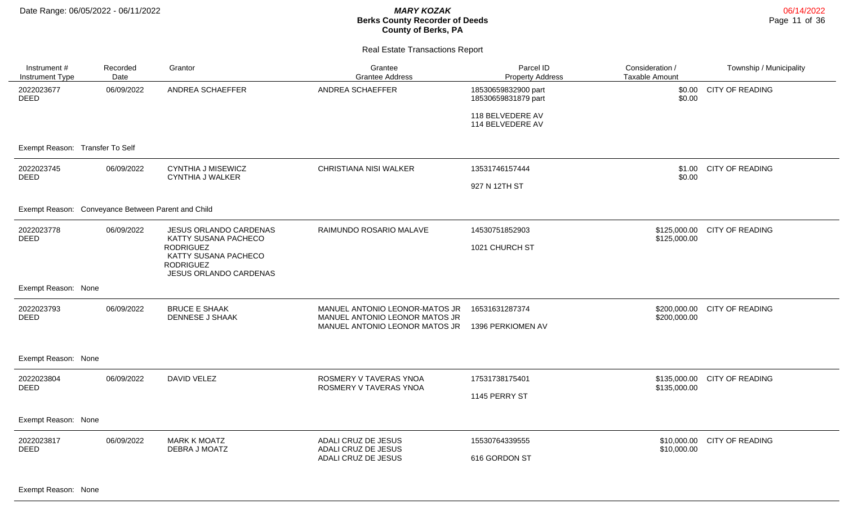| Instrument #<br>Instrument Type | Recorded<br>Date                                   | Grantor                                                                                | Grantee<br><b>Grantee Address</b>                                | Parcel ID<br><b>Property Address</b>       | Consideration /<br><b>Taxable Amount</b> | Township / Municipality |
|---------------------------------|----------------------------------------------------|----------------------------------------------------------------------------------------|------------------------------------------------------------------|--------------------------------------------|------------------------------------------|-------------------------|
| 2022023677<br><b>DEED</b>       | 06/09/2022                                         | ANDREA SCHAEFFER                                                                       | ANDREA SCHAEFFER                                                 | 18530659832900 part<br>18530659831879 part | \$0.00<br>\$0.00                         | <b>CITY OF READING</b>  |
|                                 |                                                    |                                                                                        |                                                                  | 118 BELVEDERE AV<br>114 BELVEDERE AV       |                                          |                         |
| Exempt Reason: Transfer To Self |                                                    |                                                                                        |                                                                  |                                            |                                          |                         |
| 2022023745<br><b>DEED</b>       | 06/09/2022                                         | <b>CYNTHIA J MISEWICZ</b><br><b>CYNTHIA J WALKER</b>                                   | CHRISTIANA NISI WALKER                                           | 13531746157444                             | \$0.00                                   | \$1.00 CITY OF READING  |
|                                 |                                                    |                                                                                        |                                                                  | 927 N 12TH ST                              |                                          |                         |
|                                 | Exempt Reason: Conveyance Between Parent and Child |                                                                                        |                                                                  |                                            |                                          |                         |
| 2022023778<br><b>DEED</b>       | 06/09/2022                                         | JESUS ORLANDO CARDENAS<br>KATTY SUSANA PACHECO                                         | RAIMUNDO ROSARIO MALAVE                                          | 14530751852903                             | \$125,000.00<br>\$125,000.00             | <b>CITY OF READING</b>  |
|                                 |                                                    | <b>RODRIGUEZ</b><br>KATTY SUSANA PACHECO<br><b>RODRIGUEZ</b><br>JESUS ORLANDO CARDENAS |                                                                  | 1021 CHURCH ST                             |                                          |                         |
| Exempt Reason: None             |                                                    |                                                                                        |                                                                  |                                            |                                          |                         |
| 2022023793<br><b>DEED</b>       | 06/09/2022                                         | <b>BRUCE E SHAAK</b><br><b>DENNESE J SHAAK</b>                                         | MANUEL ANTONIO LEONOR-MATOS JR<br>MANUEL ANTONIO LEONOR MATOS JR | 16531631287374                             | \$200,000.00<br>\$200,000.00             | <b>CITY OF READING</b>  |
|                                 |                                                    |                                                                                        | MANUEL ANTONIO LEONOR MATOS JR                                   | 1396 PERKIOMEN AV                          |                                          |                         |
| Exempt Reason: None             |                                                    |                                                                                        |                                                                  |                                            |                                          |                         |
| 2022023804<br><b>DEED</b>       | 06/09/2022                                         | <b>DAVID VELEZ</b>                                                                     | ROSMERY V TAVERAS YNOA<br>ROSMERY V TAVERAS YNOA                 | 17531738175401                             | \$135,000.00<br>\$135,000.00             | <b>CITY OF READING</b>  |
|                                 |                                                    |                                                                                        |                                                                  | 1145 PERRY ST                              |                                          |                         |
| Exempt Reason: None             |                                                    |                                                                                        |                                                                  |                                            |                                          |                         |
| 2022023817<br><b>DEED</b>       | 06/09/2022                                         | <b>MARK K MOATZ</b><br>DEBRA J MOATZ                                                   | ADALI CRUZ DE JESUS<br>ADALI CRUZ DE JESUS                       | 15530764339555                             | \$10,000.00<br>\$10,000.00               | <b>CITY OF READING</b>  |
|                                 |                                                    |                                                                                        | ADALI CRUZ DE JESUS                                              | 616 GORDON ST                              |                                          |                         |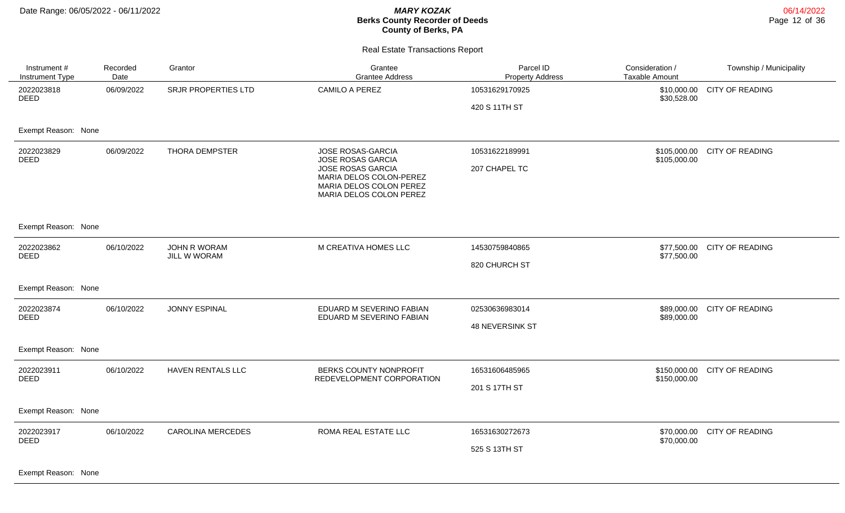| Instrument #<br><b>Instrument Type</b>           | Recorded<br>Date | Grantor                             | Grantee<br><b>Grantee Address</b>                                                                                                            | Parcel ID<br><b>Property Address</b> | Consideration /<br><b>Taxable Amount</b> | Township / Municipality      |
|--------------------------------------------------|------------------|-------------------------------------|----------------------------------------------------------------------------------------------------------------------------------------------|--------------------------------------|------------------------------------------|------------------------------|
| 2022023818<br><b>DEED</b>                        | 06/09/2022       | SRJR PROPERTIES LTD                 | CAMILO A PEREZ                                                                                                                               | 10531629170925<br>420 S 11TH ST      | \$10,000.00<br>\$30,528.00               | <b>CITY OF READING</b>       |
| Exempt Reason: None                              |                  |                                     |                                                                                                                                              |                                      |                                          |                              |
| 2022023829<br><b>DEED</b>                        | 06/09/2022       | <b>THORA DEMPSTER</b>               | JOSE ROSAS-GARCIA<br>JOSE ROSAS GARCIA<br>JOSE ROSAS GARCIA<br>MARIA DELOS COLON-PEREZ<br>MARIA DELOS COLON PEREZ<br>MARIA DELOS COLON PEREZ | 10531622189991<br>207 CHAPEL TC      | \$105,000.00                             | \$105,000.00 CITY OF READING |
| Exempt Reason: None                              |                  |                                     |                                                                                                                                              |                                      |                                          |                              |
| 2022023862<br><b>DEED</b>                        | 06/10/2022       | <b>JOHN R WORAM</b><br>JILL W WORAM | M CREATIVA HOMES LLC                                                                                                                         | 14530759840865<br>820 CHURCH ST      | \$77,500.00                              | \$77,500.00 CITY OF READING  |
| Exempt Reason: None                              |                  |                                     |                                                                                                                                              |                                      |                                          |                              |
| 2022023874<br><b>DEED</b>                        | 06/10/2022       | <b>JONNY ESPINAL</b>                | EDUARD M SEVERINO FABIAN<br>EDUARD M SEVERINO FABIAN                                                                                         | 02530636983014<br>48 NEVERSINK ST    | \$89,000.00<br>\$89,000.00               | <b>CITY OF READING</b>       |
| Exempt Reason: None                              |                  |                                     |                                                                                                                                              |                                      |                                          |                              |
| 2022023911<br><b>DEED</b>                        | 06/10/2022       | HAVEN RENTALS LLC                   | BERKS COUNTY NONPROFIT<br>REDEVELOPMENT CORPORATION                                                                                          | 16531606485965<br>201 S 17TH ST      | \$150,000.00                             | \$150,000.00 CITY OF READING |
| Exempt Reason: None                              |                  |                                     |                                                                                                                                              |                                      |                                          |                              |
| 2022023917<br><b>DEED</b><br>Exempt Reason: None | 06/10/2022       | <b>CAROLINA MERCEDES</b>            | ROMA REAL ESTATE LLC                                                                                                                         | 16531630272673<br>525 S 13TH ST      | \$70,000.00<br>\$70,000.00               | <b>CITY OF READING</b>       |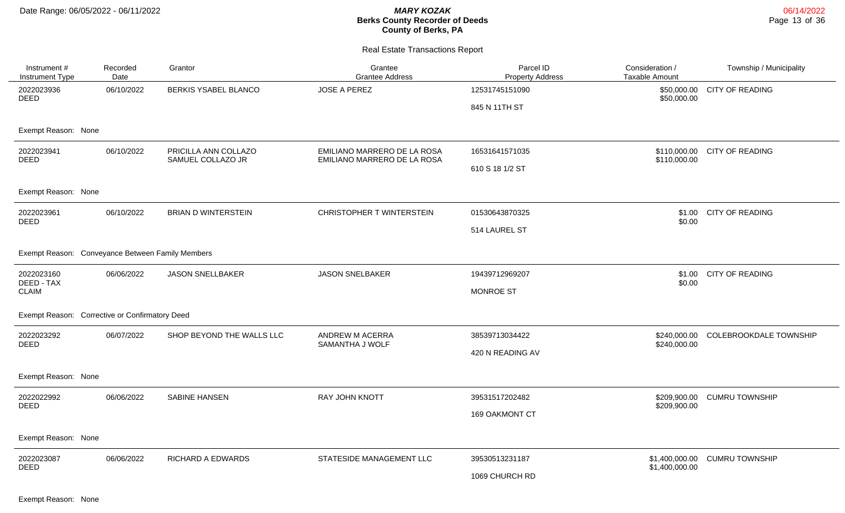Real Estate Transactions Report

| Instrument #<br>Instrument Type | Recorded<br>Date                                 | Grantor                    | Grantee<br><b>Grantee Address</b> | Parcel ID<br><b>Property Address</b> | Consideration /<br><b>Taxable Amount</b> | Township / Municipality       |
|---------------------------------|--------------------------------------------------|----------------------------|-----------------------------------|--------------------------------------|------------------------------------------|-------------------------------|
| 2022023936<br>DEED              | 06/10/2022                                       | BERKIS YSABEL BLANCO       | <b>JOSE A PEREZ</b>               | 12531745151090                       | \$50,000.00<br>\$50,000.00               | <b>CITY OF READING</b>        |
|                                 |                                                  |                            |                                   | 845 N 11TH ST                        |                                          |                               |
| Exempt Reason: None             |                                                  |                            |                                   |                                      |                                          |                               |
| 2022023941                      | 06/10/2022                                       | PRICILLA ANN COLLAZO       | EMILIANO MARRERO DE LA ROSA       | 16531641571035                       | \$110,000.00                             | <b>CITY OF READING</b>        |
| <b>DEED</b>                     |                                                  | SAMUEL COLLAZO JR          | EMILIANO MARRERO DE LA ROSA       | 610 S 18 1/2 ST                      | \$110,000.00                             |                               |
| Exempt Reason: None             |                                                  |                            |                                   |                                      |                                          |                               |
| 2022023961                      | 06/10/2022                                       | <b>BRIAN D WINTERSTEIN</b> | CHRISTOPHER T WINTERSTEIN         | 01530643870325                       | \$1.00                                   | <b>CITY OF READING</b>        |
| <b>DEED</b>                     |                                                  |                            |                                   | 514 LAUREL ST                        | \$0.00                                   |                               |
|                                 | Exempt Reason: Conveyance Between Family Members |                            |                                   |                                      |                                          |                               |
| 2022023160                      | 06/06/2022                                       | <b>JASON SNELLBAKER</b>    | <b>JASON SNELBAKER</b>            | 19439712969207                       | \$1.00                                   | <b>CITY OF READING</b>        |
| DEED - TAX<br><b>CLAIM</b>      |                                                  |                            |                                   | <b>MONROE ST</b>                     | \$0.00                                   |                               |
|                                 | Exempt Reason: Corrective or Confirmatory Deed   |                            |                                   |                                      |                                          |                               |
| 2022023292                      | 06/07/2022                                       | SHOP BEYOND THE WALLS LLC  | ANDREW M ACERRA                   | 38539713034422                       | \$240,000.00                             | <b>COLEBROOKDALE TOWNSHIP</b> |
| <b>DEED</b>                     |                                                  |                            | SAMANTHA J WOLF                   | 420 N READING AV                     | \$240,000.00                             |                               |
| Exempt Reason: None             |                                                  |                            |                                   |                                      |                                          |                               |
| 2022022992                      | 06/06/2022                                       | <b>SABINE HANSEN</b>       | RAY JOHN KNOTT                    | 39531517202482                       | \$209,900.00                             | <b>CUMRU TOWNSHIP</b>         |
| <b>DEED</b>                     |                                                  |                            |                                   | 169 OAKMONT CT                       | \$209,900.00                             |                               |
| Exempt Reason: None             |                                                  |                            |                                   |                                      |                                          |                               |
| 2022023087                      | 06/06/2022                                       | RICHARD A EDWARDS          | STATESIDE MANAGEMENT LLC          | 39530513231187                       | \$1,400,000.00                           | <b>CUMRU TOWNSHIP</b>         |
| <b>DEED</b>                     |                                                  |                            |                                   | 1069 CHURCH RD                       | \$1,400,000.00                           |                               |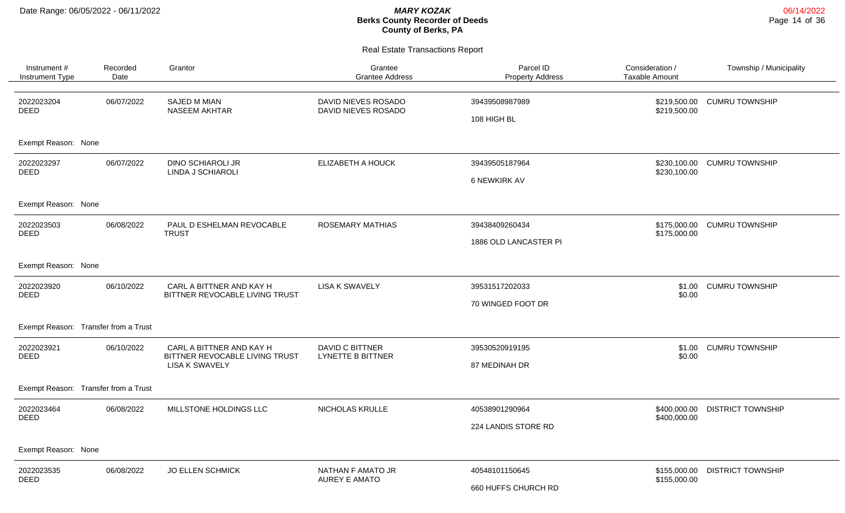| Instrument #<br>Instrument Type         | Recorded<br>Date                          | Grantor                                                    | Grantee<br><b>Grantee Address</b>           | Parcel ID<br><b>Property Address</b> | Consideration /<br><b>Taxable Amount</b> | Township / Municipality  |
|-----------------------------------------|-------------------------------------------|------------------------------------------------------------|---------------------------------------------|--------------------------------------|------------------------------------------|--------------------------|
| 2022023204<br><b>DEED</b>               | 06/07/2022                                | <b>SAJED M MIAN</b><br>NASEEM AKHTAR                       | DAVID NIEVES ROSADO<br>DAVID NIEVES ROSADO  | 39439508987989<br>108 HIGH BL        | \$219,500.00<br>\$219,500.00             | <b>CUMRU TOWNSHIP</b>    |
| Exempt Reason: None                     |                                           |                                                            |                                             |                                      |                                          |                          |
| 2022023297<br><b>DEED</b>               | 06/07/2022                                | <b>DINO SCHIAROLI JR</b><br><b>LINDA J SCHIAROLI</b>       | ELIZABETH A HOUCK                           | 39439505187964                       | \$230,100.00<br>\$230,100.00             | <b>CUMRU TOWNSHIP</b>    |
|                                         |                                           |                                                            |                                             | <b>6 NEWKIRK AV</b>                  |                                          |                          |
| Exempt Reason: None                     |                                           |                                                            |                                             |                                      |                                          |                          |
| 2022023503<br>06/08/2022<br><b>DEED</b> | PAUL D ESHELMAN REVOCABLE<br><b>TRUST</b> | <b>ROSEMARY MATHIAS</b>                                    | 39438409260434                              | \$175,000.00<br>\$175,000.00         | <b>CUMRU TOWNSHIP</b>                    |                          |
|                                         |                                           |                                                            |                                             | 1886 OLD LANCASTER PI                |                                          |                          |
| Exempt Reason: None                     |                                           |                                                            |                                             |                                      |                                          |                          |
| 2022023920<br>DEED                      | 06/10/2022                                | CARL A BITTNER AND KAY H<br>BITTNER REVOCABLE LIVING TRUST | <b>LISA K SWAVELY</b>                       | 39531517202033                       | \$1.00<br>\$0.00                         | <b>CUMRU TOWNSHIP</b>    |
|                                         |                                           |                                                            |                                             | 70 WINGED FOOT DR                    |                                          |                          |
| Exempt Reason: Transfer from a Trust    |                                           |                                                            |                                             |                                      |                                          |                          |
| 2022023921<br><b>DEED</b>               | 06/10/2022                                | CARL A BITTNER AND KAY H<br>BITTNER REVOCABLE LIVING TRUST | DAVID C BITTNER<br><b>LYNETTE B BITTNER</b> | 39530520919195                       | \$1.00<br>\$0.00                         | <b>CUMRU TOWNSHIP</b>    |
|                                         |                                           | LISA K SWAVELY                                             |                                             | 87 MEDINAH DR                        |                                          |                          |
| Exempt Reason: Transfer from a Trust    |                                           |                                                            |                                             |                                      |                                          |                          |
| 2022023464<br><b>DEED</b>               | 06/08/2022                                | MILLSTONE HOLDINGS LLC                                     | NICHOLAS KRULLE                             | 40538901290964                       | \$400,000.00<br>\$400,000.00             | <b>DISTRICT TOWNSHIP</b> |
|                                         |                                           |                                                            |                                             | 224 LANDIS STORE RD                  |                                          |                          |
| Exempt Reason: None                     |                                           |                                                            |                                             |                                      |                                          |                          |
| 2022023535                              | 06/08/2022                                | <b>JO ELLEN SCHMICK</b>                                    | NATHAN F AMATO JR<br><b>AUREY E AMATO</b>   | 40548101150645                       | \$155,000.00                             | <b>DISTRICT TOWNSHIP</b> |
| <b>DEED</b>                             |                                           |                                                            |                                             | 660 HUFFS CHURCH RD                  | \$155,000.00                             |                          |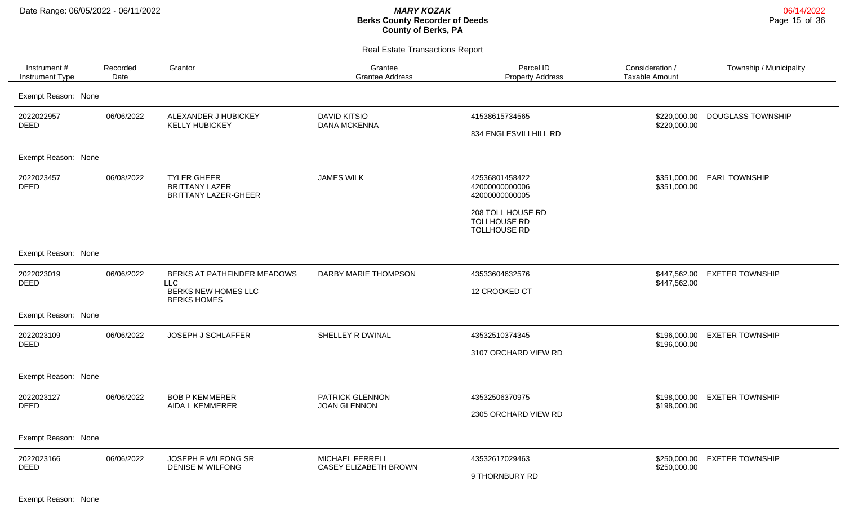Real Estate Transactions Report

| Instrument#<br>Instrument Type | Recorded<br>Date | Grantor                                                                    | Grantee<br><b>Grantee Address</b>          | Parcel ID<br><b>Property Address</b>                            | Consideration /<br><b>Taxable Amount</b> | Township / Municipality  |
|--------------------------------|------------------|----------------------------------------------------------------------------|--------------------------------------------|-----------------------------------------------------------------|------------------------------------------|--------------------------|
| Exempt Reason: None            |                  |                                                                            |                                            |                                                                 |                                          |                          |
| 2022022957<br><b>DEED</b>      | 06/06/2022       | ALEXANDER J HUBICKEY<br><b>KELLY HUBICKEY</b>                              | <b>DAVID KITSIO</b><br><b>DANA MCKENNA</b> | 41538615734565<br>834 ENGLESVILLHILL RD                         | \$220,000.00<br>\$220,000.00             | <b>DOUGLASS TOWNSHIP</b> |
| Exempt Reason: None            |                  |                                                                            |                                            |                                                                 |                                          |                          |
| 2022023457<br><b>DEED</b>      | 06/08/2022       | <b>TYLER GHEER</b><br><b>BRITTANY LAZER</b><br><b>BRITTANY LAZER-GHEER</b> | <b>JAMES WILK</b>                          | 42536801458422<br>42000000000006<br>42000000000005              | \$351,000.00<br>\$351,000.00             | <b>EARL TOWNSHIP</b>     |
|                                |                  |                                                                            |                                            | 208 TOLL HOUSE RD<br><b>TOLLHOUSE RD</b><br><b>TOLLHOUSE RD</b> |                                          |                          |
| Exempt Reason: None            |                  |                                                                            |                                            |                                                                 |                                          |                          |
| 2022023019<br><b>DEED</b>      | 06/06/2022       | BERKS AT PATHFINDER MEADOWS<br><b>LLC</b>                                  | DARBY MARIE THOMPSON                       | 43533604632576                                                  | \$447,562.00<br>\$447,562.00             | <b>EXETER TOWNSHIP</b>   |
|                                |                  | BERKS NEW HOMES LLC<br><b>BERKS HOMES</b>                                  |                                            | 12 CROOKED CT                                                   |                                          |                          |
| Exempt Reason: None            |                  |                                                                            |                                            |                                                                 |                                          |                          |
| 2022023109<br><b>DEED</b>      | 06/06/2022       | JOSEPH J SCHLAFFER                                                         | SHELLEY R DWINAL                           | 43532510374345                                                  | \$196,000.00<br>\$196,000.00             | <b>EXETER TOWNSHIP</b>   |
|                                |                  |                                                                            |                                            | 3107 ORCHARD VIEW RD                                            |                                          |                          |
| Exempt Reason: None            |                  |                                                                            |                                            |                                                                 |                                          |                          |
| 2022023127<br>DEED             | 06/06/2022       | <b>BOB P KEMMERER</b>                                                      | PATRICK GLENNON                            | 43532506370975                                                  | \$198,000.00<br>\$198,000.00             | <b>EXETER TOWNSHIP</b>   |
|                                |                  | AIDA L KEMMERER                                                            | <b>JOAN GLENNON</b>                        | 2305 ORCHARD VIEW RD                                            |                                          |                          |
| Exempt Reason: None            |                  |                                                                            |                                            |                                                                 |                                          |                          |
| 2022023166<br><b>DEED</b>      | 06/06/2022       | JOSEPH F WILFONG SR<br><b>DENISE M WILFONG</b>                             | MICHAEL FERRELL<br>CASEY ELIZABETH BROWN   | 43532617029463                                                  | \$250,000.00<br>\$250,000.00             | <b>EXETER TOWNSHIP</b>   |
|                                |                  |                                                                            |                                            | 9 THORNBURY RD                                                  |                                          |                          |

Exempt Reason: None

06/14/2022 Page 15 of 36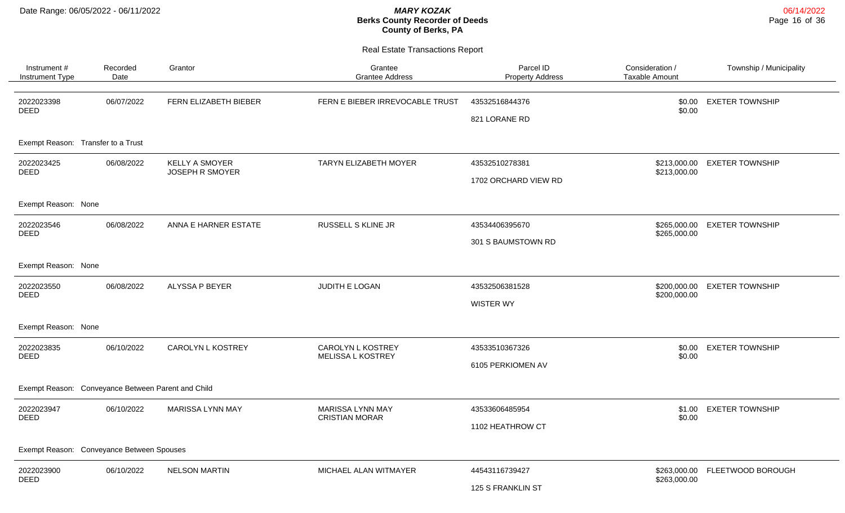06/14/2022 Page 16 of 36

| Instrument#<br>Instrument Type                     | Recorded<br>Date | Grantor                                         | Grantee<br><b>Grantee Address</b>         | Parcel ID<br><b>Property Address</b>   | Consideration /<br><b>Taxable Amount</b> | Township / Municipality        |
|----------------------------------------------------|------------------|-------------------------------------------------|-------------------------------------------|----------------------------------------|------------------------------------------|--------------------------------|
| 2022023398<br><b>DEED</b>                          | 06/07/2022       | FERN ELIZABETH BIEBER                           | FERN E BIEBER IRREVOCABLE TRUST           | 43532516844376<br>821 LORANE RD        | \$0.00<br>\$0.00                         | <b>EXETER TOWNSHIP</b>         |
| Exempt Reason: Transfer to a Trust                 |                  |                                                 |                                           |                                        |                                          |                                |
| 2022023425<br><b>DEED</b>                          | 06/08/2022       | <b>KELLY A SMOYER</b><br><b>JOSEPH R SMOYER</b> | TARYN ELIZABETH MOYER                     | 43532510278381<br>1702 ORCHARD VIEW RD | \$213,000.00                             | \$213,000.00 EXETER TOWNSHIP   |
| Exempt Reason: None                                |                  |                                                 |                                           |                                        |                                          |                                |
| 2022023546<br><b>DEED</b>                          | 06/08/2022       | ANNA E HARNER ESTATE                            | RUSSELL S KLINE JR                        | 43534406395670<br>301 S BAUMSTOWN RD   | \$265,000.00<br>\$265,000.00             | <b>EXETER TOWNSHIP</b>         |
| Exempt Reason: None                                |                  |                                                 |                                           |                                        |                                          |                                |
| 2022023550<br>DEED                                 | 06/08/2022       | ALYSSA P BEYER                                  | JUDITH E LOGAN                            | 43532506381528<br>WISTER WY            | \$200,000.00                             | \$200,000.00 EXETER TOWNSHIP   |
| Exempt Reason: None                                |                  |                                                 |                                           |                                        |                                          |                                |
| 2022023835<br>DEED                                 | 06/10/2022       | <b>CAROLYN L KOSTREY</b>                        | CAROLYN L KOSTREY<br>MELISSA L KOSTREY    | 43533510367326<br>6105 PERKIOMEN AV    | \$0.00                                   | \$0.00 EXETER TOWNSHIP         |
| Exempt Reason: Conveyance Between Parent and Child |                  |                                                 |                                           |                                        |                                          |                                |
| 2022023947<br><b>DEED</b>                          | 06/10/2022       | <b>MARISSA LYNN MAY</b>                         | MARISSA LYNN MAY<br><b>CRISTIAN MORAR</b> | 43533606485954<br>1102 HEATHROW CT     | \$1.00<br>\$0.00                         | <b>EXETER TOWNSHIP</b>         |
| Exempt Reason: Conveyance Between Spouses          |                  |                                                 |                                           |                                        |                                          |                                |
| 2022023900<br><b>DEED</b>                          | 06/10/2022       | <b>NELSON MARTIN</b>                            | MICHAEL ALAN WITMAYER                     | 44543116739427<br>125 S FRANKLIN ST    | \$263,000.00                             | \$263,000.00 FLEETWOOD BOROUGH |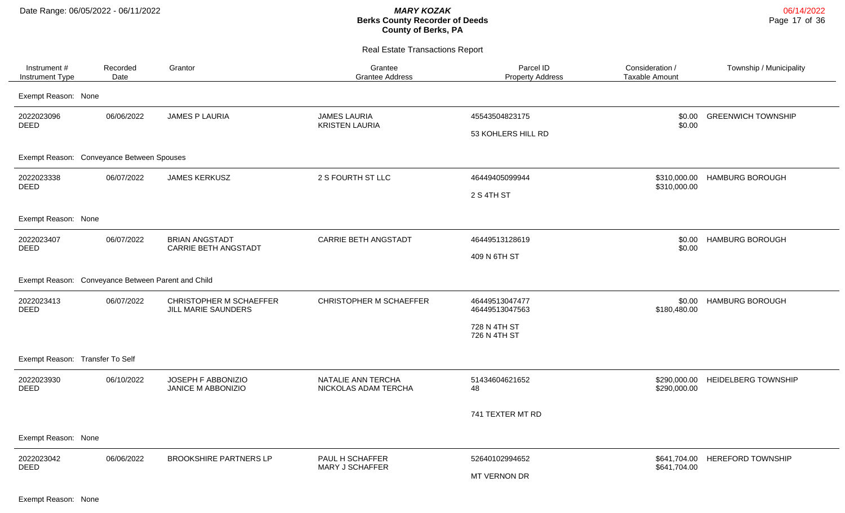Real Estate Transactions Report

| Instrument #<br>Instrument Type                    | Recorded<br>Date | Grantor                                        | Grantee<br><b>Grantee Address</b>            | Parcel ID<br><b>Property Address</b> | Consideration /<br><b>Taxable Amount</b> | Township / Municipality      |
|----------------------------------------------------|------------------|------------------------------------------------|----------------------------------------------|--------------------------------------|------------------------------------------|------------------------------|
| Exempt Reason: None                                |                  |                                                |                                              |                                      |                                          |                              |
| 2022023096<br><b>DEED</b>                          | 06/06/2022       | <b>JAMES P LAURIA</b>                          | <b>JAMES LAURIA</b><br><b>KRISTEN LAURIA</b> | 45543504823175<br>53 KOHLERS HILL RD | \$0.00<br>\$0.00                         | <b>GREENWICH TOWNSHIP</b>    |
| Exempt Reason: Conveyance Between Spouses          |                  |                                                |                                              |                                      |                                          |                              |
| 2022023338<br><b>DEED</b>                          | 06/07/2022       | <b>JAMES KERKUSZ</b>                           | 2 S FOURTH ST LLC                            | 46449405099944<br>2 S 4TH ST         | \$310,000.00                             | \$310,000.00 HAMBURG BOROUGH |
| Exempt Reason: None                                |                  |                                                |                                              |                                      |                                          |                              |
| 2022023407<br>DEED                                 | 06/07/2022       | <b>BRIAN ANGSTADT</b><br>CARRIE BETH ANGSTADT  | CARRIE BETH ANGSTADT                         | 46449513128619<br>409 N 6TH ST       | \$0.00<br>\$0.00                         | <b>HAMBURG BOROUGH</b>       |
| Exempt Reason: Conveyance Between Parent and Child |                  |                                                |                                              |                                      |                                          |                              |
| 2022023413<br><b>DEED</b>                          | 06/07/2022       | CHRISTOPHER M SCHAEFFER<br>JILL MARIE SAUNDERS | CHRISTOPHER M SCHAEFFER                      | 46449513047477<br>46449513047563     | \$0.00<br>\$180,480.00                   | <b>HAMBURG BOROUGH</b>       |
|                                                    |                  |                                                |                                              | 728 N 4TH ST<br>726 N 4TH ST         |                                          |                              |
| Exempt Reason: Transfer To Self                    |                  |                                                |                                              |                                      |                                          |                              |
| 2022023930<br><b>DEED</b>                          | 06/10/2022       | JOSEPH F ABBONIZIO<br>JANICE M ABBONIZIO       | NATALIE ANN TERCHA<br>NICKOLAS ADAM TERCHA   | 51434604621652<br>48                 | \$290,000.00<br>\$290,000.00             | <b>HEIDELBERG TOWNSHIP</b>   |
|                                                    |                  |                                                |                                              | 741 TEXTER MT RD                     |                                          |                              |
| Exempt Reason: None                                |                  |                                                |                                              |                                      |                                          |                              |
| 2022023042<br><b>DEED</b>                          | 06/06/2022       | <b>BROOKSHIRE PARTNERS LP</b>                  | PAUL H SCHAFFER<br><b>MARY J SCHAFFER</b>    | 52640102994652<br>MT VERNON DR       | \$641,704.00<br>\$641,704.00             | <b>HEREFORD TOWNSHIP</b>     |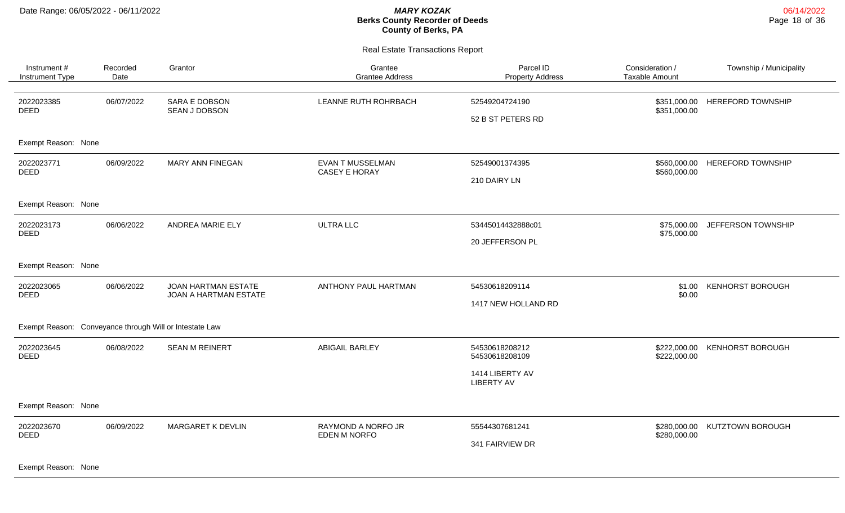Real Estate Transactions Report

| Instrument#<br>Instrument Type                          | Recorded<br>Date | Grantor                                      | Grantee<br><b>Grantee Address</b>         | Parcel ID<br><b>Property Address</b>  | Consideration /<br><b>Taxable Amount</b> | Township / Municipality  |
|---------------------------------------------------------|------------------|----------------------------------------------|-------------------------------------------|---------------------------------------|------------------------------------------|--------------------------|
| 2022023385<br>DEED                                      | 06/07/2022       | <b>SARA E DOBSON</b><br>SEAN J DOBSON        | LEANNE RUTH ROHRBACH                      | 52549204724190<br>52 B ST PETERS RD   | \$351,000.00<br>\$351,000.00             | <b>HEREFORD TOWNSHIP</b> |
| Exempt Reason: None                                     |                  |                                              |                                           |                                       |                                          |                          |
| 2022023771<br><b>DEED</b>                               | 06/09/2022       | MARY ANN FINEGAN                             | EVAN T MUSSELMAN<br>CASEY E HORAY         | 52549001374395<br>210 DAIRY LN        | \$560,000.00<br>\$560,000.00             | <b>HEREFORD TOWNSHIP</b> |
| Exempt Reason: None                                     |                  |                                              |                                           |                                       |                                          |                          |
| 2022023173<br><b>DEED</b>                               | 06/06/2022       | ANDREA MARIE ELY                             | <b>ULTRA LLC</b>                          | 53445014432888c01<br>20 JEFFERSON PL  | \$75,000.00<br>\$75,000.00               | JEFFERSON TOWNSHIP       |
| Exempt Reason: None                                     |                  |                                              |                                           |                                       |                                          |                          |
| 2022023065<br><b>DEED</b>                               | 06/06/2022       | JOAN HARTMAN ESTATE<br>JOAN A HARTMAN ESTATE | ANTHONY PAUL HARTMAN                      | 54530618209114<br>1417 NEW HOLLAND RD | \$1.00<br>\$0.00                         | <b>KENHORST BOROUGH</b>  |
| Exempt Reason: Conveyance through Will or Intestate Law |                  |                                              |                                           |                                       |                                          |                          |
| 2022023645<br><b>DEED</b>                               | 06/08/2022       | <b>SEAN M REINERT</b>                        | <b>ABIGAIL BARLEY</b>                     | 54530618208212<br>54530618208109      | \$222,000.00<br>\$222,000.00             | <b>KENHORST BOROUGH</b>  |
|                                                         |                  |                                              |                                           | 1414 LIBERTY AV<br><b>LIBERTY AV</b>  |                                          |                          |
| Exempt Reason: None                                     |                  |                                              |                                           |                                       |                                          |                          |
| 2022023670<br><b>DEED</b>                               | 06/09/2022       | MARGARET K DEVLIN                            | RAYMOND A NORFO JR<br><b>EDEN M NORFO</b> | 55544307681241<br>341 FAIRVIEW DR     | \$280,000.00<br>\$280,000.00             | KUTZTOWN BOROUGH         |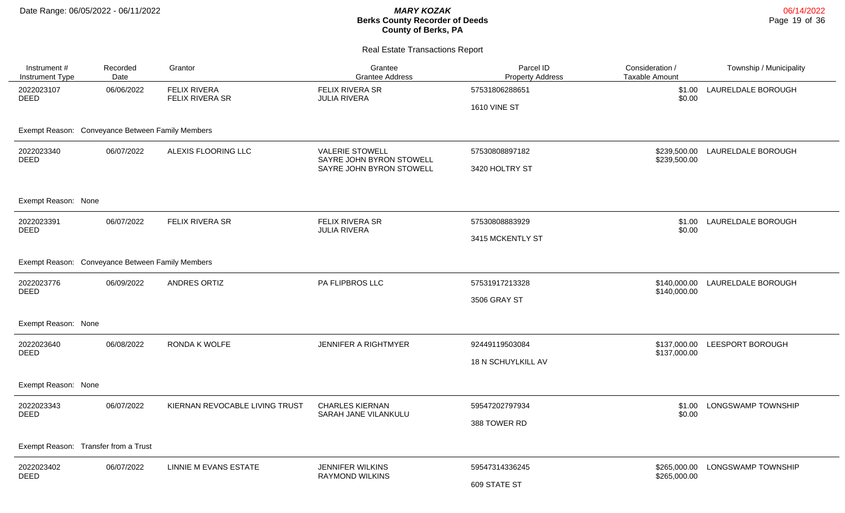06/14/2022 Page 19 of 36

| Instrument #<br>Instrument Type                  | Recorded<br>Date | Grantor                                | Grantee<br><b>Grantee Address</b>                  | Parcel ID<br><b>Property Address</b>  | Consideration /<br><b>Taxable Amount</b> | Township / Municipality   |
|--------------------------------------------------|------------------|----------------------------------------|----------------------------------------------------|---------------------------------------|------------------------------------------|---------------------------|
| 2022023107<br><b>DEED</b>                        | 06/06/2022       | <b>FELIX RIVERA</b><br>FELIX RIVERA SR | FELIX RIVERA SR<br><b>JULIA RIVERA</b>             | 57531806288651<br><b>1610 VINE ST</b> | \$1.00<br>\$0.00                         | LAURELDALE BOROUGH        |
| Exempt Reason: Conveyance Between Family Members |                  |                                        |                                                    |                                       |                                          |                           |
| 2022023340<br><b>DEED</b>                        | 06/07/2022       | ALEXIS FLOORING LLC                    | <b>VALERIE STOWELL</b><br>SAYRE JOHN BYRON STOWELL | 57530808897182                        | \$239,500.00<br>\$239,500.00             | LAURELDALE BOROUGH        |
|                                                  |                  |                                        | SAYRE JOHN BYRON STOWELL                           | 3420 HOLTRY ST                        |                                          |                           |
| Exempt Reason: None                              |                  |                                        |                                                    |                                       |                                          |                           |
| 2022023391<br><b>DEED</b>                        | 06/07/2022       | FELIX RIVERA SR                        | FELIX RIVERA SR<br><b>JULIA RIVERA</b>             | 57530808883929                        | \$1.00<br>\$0.00                         | LAURELDALE BOROUGH        |
|                                                  |                  |                                        |                                                    | 3415 MCKENTLY ST                      |                                          |                           |
| Exempt Reason: Conveyance Between Family Members |                  |                                        |                                                    |                                       |                                          |                           |
| 2022023776<br><b>DEED</b>                        | 06/09/2022       | ANDRES ORTIZ                           | PA FLIPBROS LLC                                    | 57531917213328                        | \$140,000.00<br>\$140,000.00             | LAURELDALE BOROUGH        |
|                                                  |                  |                                        |                                                    | 3506 GRAY ST                          |                                          |                           |
| Exempt Reason: None                              |                  |                                        |                                                    |                                       |                                          |                           |
| 2022023640<br>DEED                               | 06/08/2022       | <b>RONDA K WOLFE</b>                   | <b>JENNIFER A RIGHTMYER</b>                        | 92449119503084                        | \$137,000.00<br>\$137,000.00             | LEESPORT BOROUGH          |
|                                                  |                  |                                        |                                                    | 18 N SCHUYLKILL AV                    |                                          |                           |
| Exempt Reason: None                              |                  |                                        |                                                    |                                       |                                          |                           |
| 2022023343<br><b>DEED</b>                        | 06/07/2022       | KIERNAN REVOCABLE LIVING TRUST         | <b>CHARLES KIERNAN</b><br>SARAH JANE VILANKULU     | 59547202797934                        | \$1.00<br>\$0.00                         | <b>LONGSWAMP TOWNSHIP</b> |
|                                                  |                  |                                        |                                                    | 388 TOWER RD                          |                                          |                           |
| Exempt Reason: Transfer from a Trust             |                  |                                        |                                                    |                                       |                                          |                           |
| 2022023402<br><b>DEED</b>                        | 06/07/2022       | LINNIE M EVANS ESTATE                  | <b>JENNIFER WILKINS</b><br><b>RAYMOND WILKINS</b>  | 59547314336245                        | \$265,000.00<br>\$265,000.00             | LONGSWAMP TOWNSHIP        |
|                                                  |                  |                                        |                                                    | 609 STATE ST                          |                                          |                           |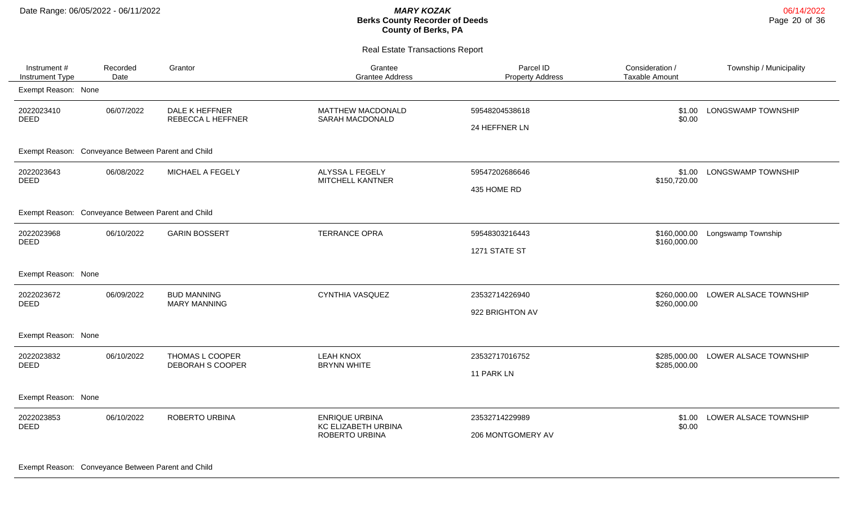Real Estate Transactions Report

| Instrument #<br>Instrument Type                    | Recorded<br>Date | Grantor                                   | Grantee<br><b>Grantee Address</b>                              | Parcel ID<br><b>Property Address</b> | Consideration /<br><b>Taxable Amount</b> | Township / Municipality |
|----------------------------------------------------|------------------|-------------------------------------------|----------------------------------------------------------------|--------------------------------------|------------------------------------------|-------------------------|
| Exempt Reason: None                                |                  |                                           |                                                                |                                      |                                          |                         |
| 2022023410<br>DEED                                 | 06/07/2022       | DALE K HEFFNER<br>REBECCA L HEFFNER       | <b>MATTHEW MACDONALD</b><br>SARAH MACDONALD                    | 59548204538618<br>24 HEFFNER LN      | \$1.00<br>\$0.00                         | LONGSWAMP TOWNSHIP      |
| Exempt Reason: Conveyance Between Parent and Child |                  |                                           |                                                                |                                      |                                          |                         |
| 2022023643<br><b>DEED</b>                          | 06/08/2022       | MICHAEL A FEGELY                          | ALYSSA L FEGELY<br>MITCHELL KANTNER                            | 59547202686646<br>435 HOME RD        | \$1.00<br>\$150,720.00                   | LONGSWAMP TOWNSHIP      |
| Exempt Reason: Conveyance Between Parent and Child |                  |                                           |                                                                |                                      |                                          |                         |
| 2022023968<br><b>DEED</b>                          | 06/10/2022       | <b>GARIN BOSSERT</b>                      | <b>TERRANCE OPRA</b>                                           | 59548303216443<br>1271 STATE ST      | \$160,000.00<br>\$160,000.00             | Longswamp Township      |
| Exempt Reason: None                                |                  |                                           |                                                                |                                      |                                          |                         |
| 2022023672<br>DEED                                 | 06/09/2022       | <b>BUD MANNING</b><br><b>MARY MANNING</b> | <b>CYNTHIA VASQUEZ</b>                                         | 23532714226940<br>922 BRIGHTON AV    | \$260,000.00<br>\$260,000.00             | LOWER ALSACE TOWNSHIP   |
| Exempt Reason: None                                |                  |                                           |                                                                |                                      |                                          |                         |
| 2022023832<br>DEED                                 | 06/10/2022       | THOMAS L COOPER<br>DEBORAH S COOPER       | <b>LEAH KNOX</b><br><b>BRYNN WHITE</b>                         | 23532717016752<br>11 PARK LN         | \$285,000.00<br>\$285,000.00             | LOWER ALSACE TOWNSHIP   |
| Exempt Reason: None                                |                  |                                           |                                                                |                                      |                                          |                         |
| 2022023853<br><b>DEED</b>                          | 06/10/2022       | ROBERTO URBINA                            | <b>ENRIQUE URBINA</b><br>KC ELIZABETH URBINA<br>ROBERTO URBINA | 23532714229989<br>206 MONTGOMERY AV  | \$1.00<br>\$0.00                         | LOWER ALSACE TOWNSHIP   |

Exempt Reason: Conveyance Between Parent and Child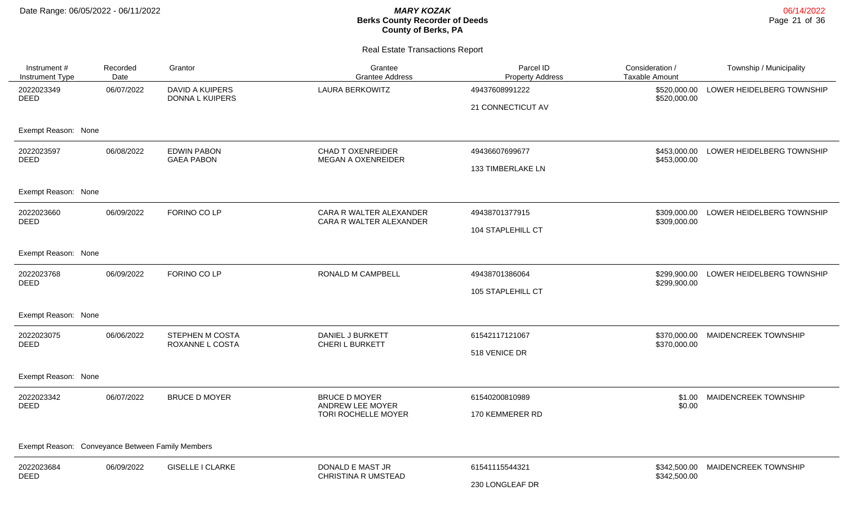| Instrument #<br>Instrument Type                  | Recorded<br>Date | Grantor                                   | Grantee<br><b>Grantee Address</b>                               | Parcel ID<br><b>Property Address</b> | Consideration /<br><b>Taxable Amount</b> | Township / Municipality   |  |  |
|--------------------------------------------------|------------------|-------------------------------------------|-----------------------------------------------------------------|--------------------------------------|------------------------------------------|---------------------------|--|--|
| 2022023349<br><b>DEED</b>                        | 06/07/2022       | <b>DAVID A KUIPERS</b><br>DONNA L KUIPERS | <b>LAURA BERKOWITZ</b>                                          | 49437608991222<br>21 CONNECTICUT AV  | \$520,000.00<br>\$520,000.00             | LOWER HEIDELBERG TOWNSHIP |  |  |
| Exempt Reason: None                              |                  |                                           |                                                                 |                                      |                                          |                           |  |  |
| 2022023597<br><b>DEED</b>                        | 06/08/2022       | <b>EDWIN PABON</b><br><b>GAEA PABON</b>   | <b>CHAD T OXENREIDER</b><br><b>MEGAN A OXENREIDER</b>           | 49436607699677<br>133 TIMBERLAKE LN  | \$453,000.00<br>\$453,000.00             | LOWER HEIDELBERG TOWNSHIP |  |  |
| Exempt Reason: None                              |                  |                                           |                                                                 |                                      |                                          |                           |  |  |
| 2022023660<br><b>DEED</b>                        | 06/09/2022       | FORINO CO LP                              | CARA R WALTER ALEXANDER<br>CARA R WALTER ALEXANDER              | 49438701377915<br>104 STAPLEHILL CT  | \$309,000.00<br>\$309,000.00             | LOWER HEIDELBERG TOWNSHIP |  |  |
| Exempt Reason: None                              |                  |                                           |                                                                 |                                      |                                          |                           |  |  |
| 2022023768<br><b>DEED</b>                        | 06/09/2022       | FORINO CO LP                              | RONALD M CAMPBELL                                               | 49438701386064<br>105 STAPLEHILL CT  | \$299.900.00<br>\$299,900.00             | LOWER HEIDELBERG TOWNSHIP |  |  |
| Exempt Reason: None                              |                  |                                           |                                                                 |                                      |                                          |                           |  |  |
| 2022023075<br><b>DEED</b>                        | 06/06/2022       | <b>STEPHEN M COSTA</b><br>ROXANNE L COSTA | DANIEL J BURKETT<br>CHERI L BURKETT                             | 61542117121067<br>518 VENICE DR      | \$370,000.00<br>\$370,000.00             | MAIDENCREEK TOWNSHIP      |  |  |
| Exempt Reason: None                              |                  |                                           |                                                                 |                                      |                                          |                           |  |  |
| 2022023342<br><b>DEED</b>                        | 06/07/2022       | <b>BRUCE D MOYER</b>                      | <b>BRUCE D MOYER</b><br>ANDREW LEE MOYER<br>TORI ROCHELLE MOYER | 61540200810989<br>170 KEMMERER RD    | \$1.00<br>\$0.00                         | MAIDENCREEK TOWNSHIP      |  |  |
| Exempt Reason: Conveyance Between Family Members |                  |                                           |                                                                 |                                      |                                          |                           |  |  |
| 2022023684<br><b>DEED</b>                        | 06/09/2022       | <b>GISELLE I CLARKE</b>                   | DONALD E MAST JR<br><b>CHRISTINA R UMSTEAD</b>                  | 61541115544321<br>230 LONGLEAF DR    | \$342,500.00<br>\$342,500.00             | MAIDENCREEK TOWNSHIP      |  |  |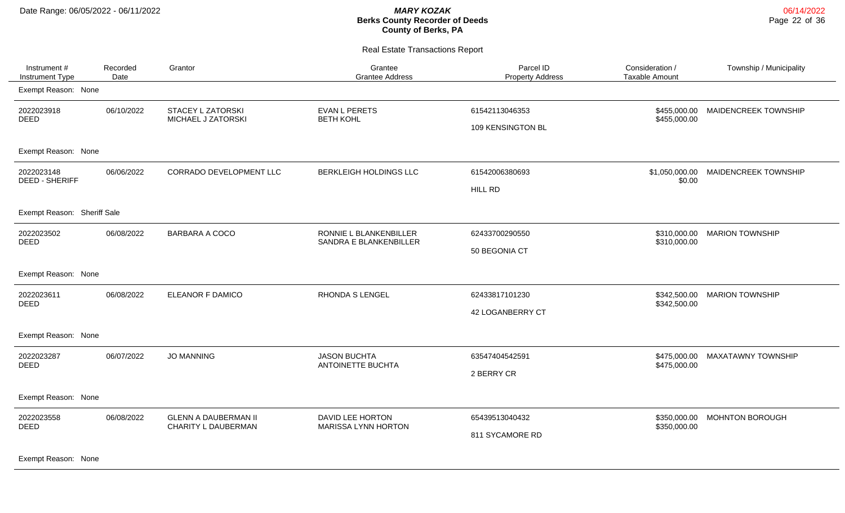Real Estate Transactions Report

| Instrument #<br>Instrument Type     | Recorded<br>Date | Grantor                                            | Grantee<br><b>Grantee Address</b>                | Parcel ID<br><b>Property Address</b> | Consideration /<br><b>Taxable Amount</b> | Township / Municipality   |
|-------------------------------------|------------------|----------------------------------------------------|--------------------------------------------------|--------------------------------------|------------------------------------------|---------------------------|
| Exempt Reason: None                 |                  |                                                    |                                                  |                                      |                                          |                           |
| 2022023918<br><b>DEED</b>           | 06/10/2022       | <b>STACEY L ZATORSKI</b><br>MICHAEL J ZATORSKI     | <b>EVAN L PERETS</b><br><b>BETH KOHL</b>         | 61542113046353<br>109 KENSINGTON BL  | \$455,000.00<br>\$455,000.00             | MAIDENCREEK TOWNSHIP      |
| Exempt Reason: None                 |                  |                                                    |                                                  |                                      |                                          |                           |
| 2022023148<br><b>DEED - SHERIFF</b> | 06/06/2022       | CORRADO DEVELOPMENT LLC                            | BERKLEIGH HOLDINGS LLC                           | 61542006380693<br><b>HILL RD</b>     | \$1,050,000.00<br>\$0.00                 | MAIDENCREEK TOWNSHIP      |
| Exempt Reason: Sheriff Sale         |                  |                                                    |                                                  |                                      |                                          |                           |
| 2022023502<br><b>DEED</b>           | 06/08/2022       | <b>BARBARA A COCO</b>                              | RONNIE L BLANKENBILLER<br>SANDRA E BLANKENBILLER | 62433700290550<br>50 BEGONIA CT      | \$310,000.00<br>\$310,000.00             | <b>MARION TOWNSHIP</b>    |
| Exempt Reason: None                 |                  |                                                    |                                                  |                                      |                                          |                           |
| 2022023611<br><b>DEED</b>           | 06/08/2022       | ELEANOR F DAMICO                                   | <b>RHONDA S LENGEL</b>                           | 62433817101230<br>42 LOGANBERRY CT   | \$342,500.00<br>\$342,500.00             | <b>MARION TOWNSHIP</b>    |
| Exempt Reason: None                 |                  |                                                    |                                                  |                                      |                                          |                           |
| 2022023287<br>DEED                  | 06/07/2022       | <b>JO MANNING</b>                                  | <b>JASON BUCHTA</b><br>ANTOINETTE BUCHTA         | 63547404542591<br>2 BERRY CR         | \$475,000.00<br>\$475,000.00             | <b>MAXATAWNY TOWNSHIP</b> |
| Exempt Reason: None                 |                  |                                                    |                                                  |                                      |                                          |                           |
| 2022023558<br><b>DEED</b>           | 06/08/2022       | <b>GLENN A DAUBERMAN II</b><br>CHARITY L DAUBERMAN | DAVID LEE HORTON<br><b>MARISSA LYNN HORTON</b>   | 65439513040432<br>811 SYCAMORE RD    | \$350,000.00<br>\$350,000.00             | <b>MOHNTON BOROUGH</b>    |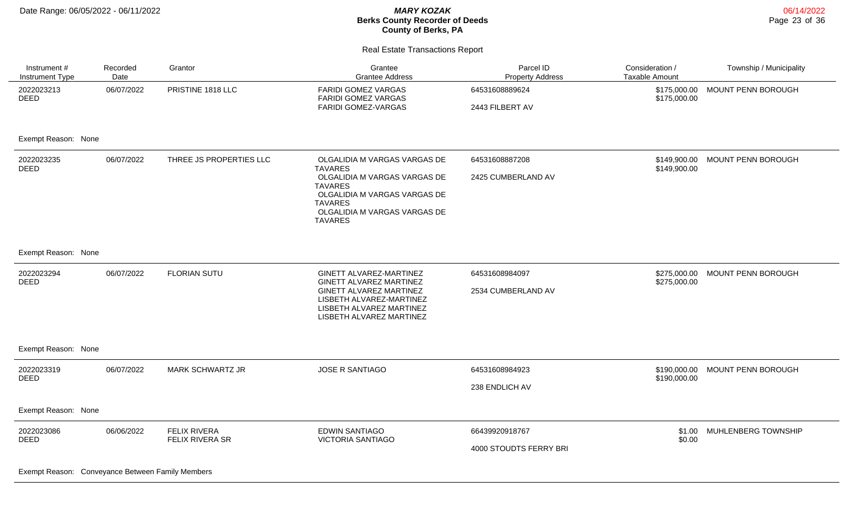$\overline{\phantom{0}}$ 

#### **Berks County Recorder of Deeds County of Berks, PA**

Real Estate Transactions Report

| Instrument #<br>Instrument Type                                               | Recorded<br>Date | Grantor                                | Grantee<br><b>Grantee Address</b>                                                                                                                                                                    | Parcel ID<br><b>Property Address</b>     | Consideration /<br><b>Taxable Amount</b> | Township / Municipality |
|-------------------------------------------------------------------------------|------------------|----------------------------------------|------------------------------------------------------------------------------------------------------------------------------------------------------------------------------------------------------|------------------------------------------|------------------------------------------|-------------------------|
| 2022023213<br><b>DEED</b>                                                     | 06/07/2022       | PRISTINE 1818 LLC                      | <b>FARIDI GOMEZ VARGAS</b><br><b>FARIDI GOMEZ VARGAS</b><br>FARIDI GOMEZ-VARGAS                                                                                                                      | 64531608889624<br>2443 FILBERT AV        | \$175,000.00<br>\$175,000.00             | MOUNT PENN BOROUGH      |
| Exempt Reason: None                                                           |                  |                                        |                                                                                                                                                                                                      |                                          |                                          |                         |
| 2022023235<br><b>DEED</b>                                                     | 06/07/2022       | THREE JS PROPERTIES LLC                | OLGALIDIA M VARGAS VARGAS DE<br><b>TAVARES</b><br>OLGALIDIA M VARGAS VARGAS DE<br><b>TAVARES</b><br>OLGALIDIA M VARGAS VARGAS DE<br><b>TAVARES</b><br>OLGALIDIA M VARGAS VARGAS DE<br><b>TAVARES</b> | 64531608887208<br>2425 CUMBERLAND AV     | \$149,900.00<br>\$149,900.00             | MOUNT PENN BOROUGH      |
| Exempt Reason: None                                                           |                  |                                        |                                                                                                                                                                                                      |                                          |                                          |                         |
| 2022023294<br><b>DEED</b>                                                     | 06/07/2022       | <b>FLORIAN SUTU</b>                    | GINETT ALVAREZ-MARTINEZ<br>GINETT ALVAREZ MARTINEZ<br>GINETT ALVAREZ MARTINEZ<br>LISBETH ALVAREZ-MARTINEZ<br>LISBETH ALVAREZ MARTINEZ<br>LISBETH ALVAREZ MARTINEZ                                    | 64531608984097<br>2534 CUMBERLAND AV     | \$275,000.00<br>\$275,000.00             | MOUNT PENN BOROUGH      |
| Exempt Reason: None                                                           |                  |                                        |                                                                                                                                                                                                      |                                          |                                          |                         |
| 2022023319<br><b>DEED</b>                                                     | 06/07/2022       | <b>MARK SCHWARTZ JR</b>                | <b>JOSE R SANTIAGO</b>                                                                                                                                                                               | 64531608984923<br>238 ENDLICH AV         | \$190,000.00<br>\$190,000.00             | MOUNT PENN BOROUGH      |
| Exempt Reason: None                                                           |                  |                                        |                                                                                                                                                                                                      |                                          |                                          |                         |
| 2022023086<br><b>DEED</b><br>Exampt Peacon: Convoyance Between Eamily Members | 06/06/2022       | <b>FELIX RIVERA</b><br>FELIX RIVERA SR | <b>EDWIN SANTIAGO</b><br><b>VICTORIA SANTIAGO</b>                                                                                                                                                    | 66439920918767<br>4000 STOUDTS FERRY BRI | \$1.00<br>\$0.00                         | MUHLENBERG TOWNSHIP     |

Exempt Reason: Conveyance Between Family Members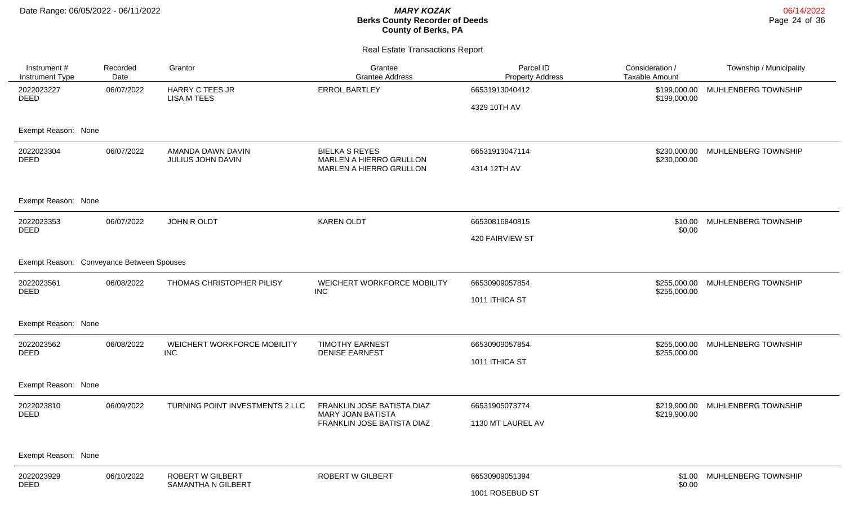| Instrument #<br>Instrument Type           | Recorded<br>Date | Grantor                                              | Grantee<br><b>Grantee Address</b>                                                    | Parcel ID<br><b>Property Address</b> | Consideration /<br>Taxable Amount | Township / Municipality    |
|-------------------------------------------|------------------|------------------------------------------------------|--------------------------------------------------------------------------------------|--------------------------------------|-----------------------------------|----------------------------|
| 2022023227<br><b>DEED</b>                 | 06/07/2022       | <b>HARRY C TEES JR</b><br><b>LISA M TEES</b>         | <b>ERROL BARTLEY</b>                                                                 | 66531913040412<br>4329 10TH AV       | \$199,000.00<br>\$199,000.00      | MUHLENBERG TOWNSHIP        |
| Exempt Reason: None                       |                  |                                                      |                                                                                      |                                      |                                   |                            |
| 2022023304<br><b>DEED</b>                 | 06/07/2022       | AMANDA DAWN DAVIN<br>JULIUS JOHN DAVIN               | <b>BIELKA S REYES</b><br>MARLEN A HIERRO GRULLON<br>MARLEN A HIERRO GRULLON          | 66531913047114<br>4314 12TH AV       | \$230,000.00<br>\$230,000.00      | MUHLENBERG TOWNSHIP        |
| Exempt Reason: None                       |                  |                                                      |                                                                                      |                                      |                                   |                            |
| 2022023353<br><b>DEED</b>                 | 06/07/2022       | JOHN R OLDT                                          | <b>KAREN OLDT</b>                                                                    | 66530816840815<br>420 FAIRVIEW ST    | \$10.00<br>\$0.00                 | MUHLENBERG TOWNSHIP        |
| Exempt Reason: Conveyance Between Spouses |                  |                                                      |                                                                                      |                                      |                                   |                            |
| 2022023561<br>DEED                        | 06/08/2022       | THOMAS CHRISTOPHER PILISY                            | WEICHERT WORKFORCE MOBILITY<br><b>INC</b>                                            | 66530909057854<br>1011 ITHICA ST     | \$255,000.00<br>\$255,000.00      | MUHLENBERG TOWNSHIP        |
| Exempt Reason: None                       |                  |                                                      |                                                                                      |                                      |                                   |                            |
| 2022023562<br>DEED                        | 06/08/2022       | WEICHERT WORKFORCE MOBILITY<br>INC                   | <b>TIMOTHY EARNEST</b><br><b>DENISE EARNEST</b>                                      | 66530909057854<br>1011 ITHICA ST     | \$255,000.00<br>\$255,000.00      | MUHLENBERG TOWNSHIP        |
| Exempt Reason: None                       |                  |                                                      |                                                                                      |                                      |                                   |                            |
| 2022023810<br>DEED                        | 06/09/2022       | TURNING POINT INVESTMENTS 2 LLC                      | FRANKLIN JOSE BATISTA DIAZ<br><b>MARY JOAN BATISTA</b><br>FRANKLIN JOSE BATISTA DIAZ | 66531905073774<br>1130 MT LAUREL AV  | \$219,900.00<br>\$219,900.00      | MUHLENBERG TOWNSHIP        |
| Exempt Reason: None                       |                  |                                                      |                                                                                      |                                      |                                   |                            |
| 2022023929<br><b>DEED</b>                 | 06/10/2022       | <b>ROBERT W GILBERT</b><br><b>SAMANTHA N GILBERT</b> | <b>ROBERT W GILBERT</b>                                                              | 66530909051394<br>1001 ROSEBUD ST    | \$0.00                            | \$1.00 MUHLENBERG TOWNSHIP |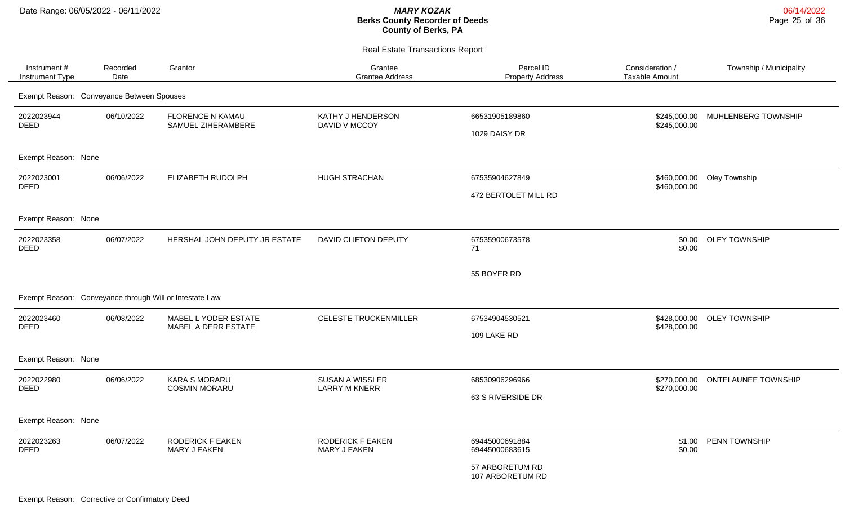| Instrument #<br>Instrument Type           | Recorded<br>Date | Grantor                                                 | Grantee<br><b>Grantee Address</b>              | Parcel ID<br><b>Property Address</b>   | Consideration /<br><b>Taxable Amount</b> | Township / Municipality    |
|-------------------------------------------|------------------|---------------------------------------------------------|------------------------------------------------|----------------------------------------|------------------------------------------|----------------------------|
| Exempt Reason: Conveyance Between Spouses |                  |                                                         |                                                |                                        |                                          |                            |
| 2022023944<br>DEED                        | 06/10/2022       | <b>FLORENCE N KAMAU</b><br>SAMUEL ZIHERAMBERE           | KATHY J HENDERSON<br>DAVID V MCCOY             | 66531905189860<br>1029 DAISY DR        | \$245,000.00<br>\$245,000.00             | MUHLENBERG TOWNSHIP        |
| Exempt Reason: None                       |                  |                                                         |                                                |                                        |                                          |                            |
| 2022023001<br><b>DEED</b>                 | 06/06/2022       | ELIZABETH RUDOLPH                                       | HUGH STRACHAN                                  | 67535904627849<br>472 BERTOLET MILL RD | \$460,000.00<br>\$460,000.00             | Oley Township              |
| Exempt Reason: None                       |                  |                                                         |                                                |                                        |                                          |                            |
| 2022023358<br><b>DEED</b>                 | 06/07/2022       | HERSHAL JOHN DEPUTY JR ESTATE                           | <b>DAVID CLIFTON DEPUTY</b>                    | 67535900673578<br>71                   | \$0.00                                   | \$0.00 OLEY TOWNSHIP       |
|                                           |                  |                                                         |                                                | 55 BOYER RD                            |                                          |                            |
|                                           |                  | Exempt Reason: Conveyance through Will or Intestate Law |                                                |                                        |                                          |                            |
| 2022023460<br><b>DEED</b>                 | 06/08/2022       | MABEL L YODER ESTATE<br>MABEL A DERR ESTATE             | <b>CELESTE TRUCKENMILLER</b>                   | 67534904530521<br>109 LAKE RD          | \$428,000.00                             | \$428,000.00 OLEY TOWNSHIP |
| Exempt Reason: None                       |                  |                                                         |                                                |                                        |                                          |                            |
| 2022022980<br><b>DEED</b>                 | 06/06/2022       | <b>KARA S MORARU</b><br><b>COSMIN MORARU</b>            | <b>SUSAN A WISSLER</b><br><b>LARRY M KNERR</b> | 68530906296966<br>63 S RIVERSIDE DR    | \$270,000.00<br>\$270,000.00             | <b>ONTELAUNEE TOWNSHIP</b> |
| Exempt Reason: None                       |                  |                                                         |                                                |                                        |                                          |                            |
| 2022023263<br><b>DEED</b>                 | 06/07/2022       | <b>RODERICK F EAKEN</b><br>MARY J EAKEN                 | <b>RODERICK F EAKEN</b><br>MARY J EAKEN        | 69445000691884<br>69445000683615       | \$1.00<br>\$0.00                         | PENN TOWNSHIP              |
|                                           |                  |                                                         |                                                | 57 ARBORETUM RD<br>107 ARBORETUM RD    |                                          |                            |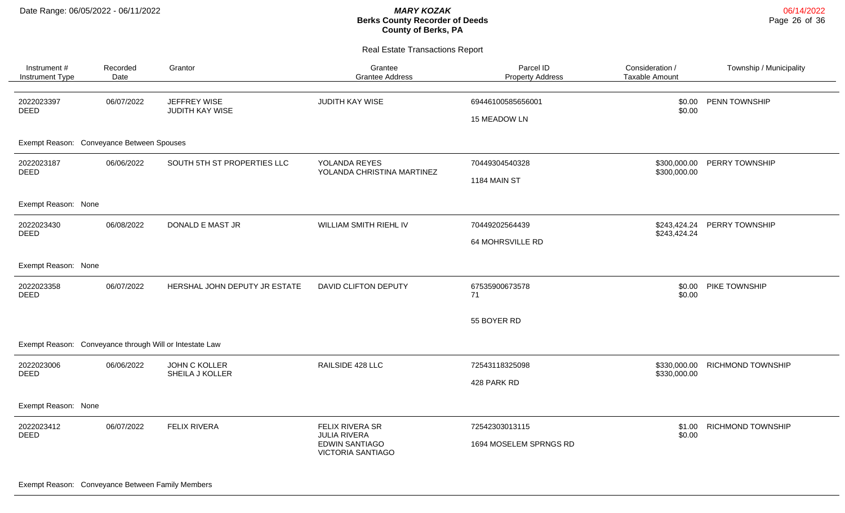| Instrument #<br>Instrument Type           | Recorded<br>Date                  | Grantor                                                      | Grantee<br><b>Grantee Address</b>                 | Parcel ID<br><b>Property Address</b> | Consideration /<br><b>Taxable Amount</b> | Township / Municipality  |
|-------------------------------------------|-----------------------------------|--------------------------------------------------------------|---------------------------------------------------|--------------------------------------|------------------------------------------|--------------------------|
| 2022023397<br><b>DEED</b>                 | 06/07/2022                        | JEFFREY WISE<br>JUDITH KAY WISE                              | JUDITH KAY WISE                                   | 69446100585656001<br>15 MEADOW LN    | \$0.00<br>\$0.00                         | PENN TOWNSHIP            |
| Exempt Reason: Conveyance Between Spouses |                                   |                                                              |                                                   |                                      |                                          |                          |
| 2022023187<br><b>DEED</b>                 | 06/06/2022                        | SOUTH 5TH ST PROPERTIES LLC                                  | YOLANDA REYES<br>YOLANDA CHRISTINA MARTINEZ       | 70449304540328                       | \$300,000.00<br>\$300,000.00             | PERRY TOWNSHIP           |
|                                           |                                   |                                                              |                                                   | 1184 MAIN ST                         |                                          |                          |
| Exempt Reason: None                       |                                   |                                                              |                                                   |                                      |                                          |                          |
| 2022023430<br><b>DEED</b>                 | 06/08/2022                        | WILLIAM SMITH RIEHL IV<br>DONALD E MAST JR<br>70449202564439 |                                                   | \$243,424.24<br>\$243,424.24         | PERRY TOWNSHIP                           |                          |
|                                           |                                   |                                                              |                                                   | 64 MOHRSVILLE RD                     |                                          |                          |
| Exempt Reason: None                       |                                   |                                                              |                                                   |                                      |                                          |                          |
| 2022023358<br><b>DEED</b>                 | 06/07/2022                        | HERSHAL JOHN DEPUTY JR ESTATE                                | <b>DAVID CLIFTON DEPUTY</b>                       | 67535900673578<br>71                 | \$0.00<br>\$0.00                         | PIKE TOWNSHIP            |
|                                           |                                   |                                                              |                                                   | 55 BOYER RD                          |                                          |                          |
|                                           |                                   | Exempt Reason: Conveyance through Will or Intestate Law      |                                                   |                                      |                                          |                          |
| 2022023006                                | 06/06/2022                        | <b>JOHN C KOLLER</b>                                         | RAILSIDE 428 LLC                                  | 72543118325098                       | \$330,000.00                             | <b>RICHMOND TOWNSHIP</b> |
| <b>DEED</b>                               |                                   | SHEILA J KOLLER                                              |                                                   | 428 PARK RD                          | \$330,000.00                             |                          |
| Exempt Reason: None                       |                                   |                                                              |                                                   |                                      |                                          |                          |
| 2022023412<br><b>DEED</b>                 | <b>FELIX RIVERA</b><br>06/07/2022 |                                                              | FELIX RIVERA SR<br><b>JULIA RIVERA</b>            | 72542303013115                       | \$1.00<br>\$0.00                         | <b>RICHMOND TOWNSHIP</b> |
|                                           |                                   |                                                              | <b>EDWIN SANTIAGO</b><br><b>VICTORIA SANTIAGO</b> | 1694 MOSELEM SPRNGS RD               |                                          |                          |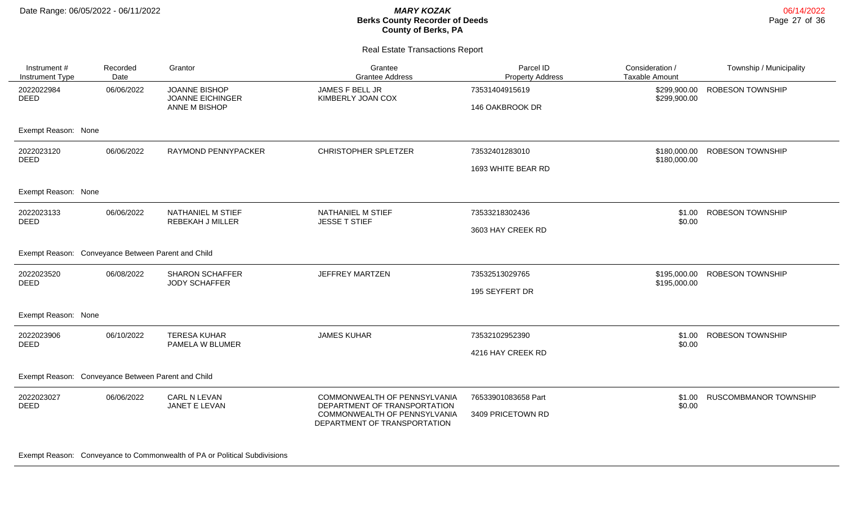06/14/2022 Page 27 of 36

| Instrument #<br>Instrument Type | Recorded<br>Date                    | Grantor                                                          | Grantee<br><b>Grantee Address</b>                            | Parcel ID<br><b>Property Address</b> | Consideration /<br><b>Taxable Amount</b> | Township / Municipality      |
|---------------------------------|-------------------------------------|------------------------------------------------------------------|--------------------------------------------------------------|--------------------------------------|------------------------------------------|------------------------------|
| 2022022984<br><b>DEED</b>       | 06/06/2022                          | <b>JOANNE BISHOP</b><br><b>JOANNE EICHINGER</b><br>ANNE M BISHOP | JAMES F BELL JR<br>KIMBERLY JOAN COX                         | 73531404915619<br>146 OAKBROOK DR    | \$299,900.00<br>\$299,900.00             | <b>ROBESON TOWNSHIP</b>      |
| Exempt Reason: None             |                                     |                                                                  |                                                              |                                      |                                          |                              |
| 2022023120<br><b>DEED</b>       | 06/06/2022                          | RAYMOND PENNYPACKER                                              | <b>CHRISTOPHER SPLETZER</b>                                  | 73532401283010                       | \$180,000.00<br>\$180,000.00             | <b>ROBESON TOWNSHIP</b>      |
|                                 |                                     |                                                                  |                                                              | 1693 WHITE BEAR RD                   |                                          |                              |
| Exempt Reason: None             |                                     |                                                                  |                                                              |                                      |                                          |                              |
| 2022023133<br><b>DEED</b>       | 06/06/2022                          | NATHANIEL M STIEF<br>REBEKAH J MILLER                            | NATHANIEL M STIEF<br><b>JESSE T STIEF</b>                    | 73533218302436                       | \$1.00<br>\$0.00                         | <b>ROBESON TOWNSHIP</b>      |
|                                 |                                     |                                                                  |                                                              | 3603 HAY CREEK RD                    |                                          |                              |
| Exempt Reason:                  | Conveyance Between Parent and Child |                                                                  |                                                              |                                      |                                          |                              |
| 2022023520<br><b>DEED</b>       | 06/08/2022                          | <b>SHARON SCHAFFER</b><br><b>JODY SCHAFFER</b>                   | <b>JEFFREY MARTZEN</b>                                       | 73532513029765                       | \$195,000.00<br>\$195,000.00             | ROBESON TOWNSHIP             |
|                                 |                                     |                                                                  |                                                              | 195 SEYFERT DR                       |                                          |                              |
| Exempt Reason: None             |                                     |                                                                  |                                                              |                                      |                                          |                              |
| 2022023906<br><b>DEED</b>       | 06/10/2022                          | <b>TERESA KUHAR</b><br>PAMELA W BLUMER                           | <b>JAMES KUHAR</b>                                           | 73532102952390                       | \$1.00<br>\$0.00                         | <b>ROBESON TOWNSHIP</b>      |
|                                 |                                     |                                                                  |                                                              | 4216 HAY CREEK RD                    |                                          |                              |
| Exempt Reason:                  | Conveyance Between Parent and Child |                                                                  |                                                              |                                      |                                          |                              |
| 2022023027<br><b>DEED</b>       | 06/06/2022                          | CARL N LEVAN<br>JANET E LEVAN                                    | COMMONWEALTH OF PENNSYLVANIA<br>DEPARTMENT OF TRANSPORTATION | 76533901083658 Part                  | \$1.00<br>\$0.00                         | <b>RUSCOMBMANOR TOWNSHIP</b> |
|                                 |                                     |                                                                  | COMMONWEALTH OF PENNSYLVANIA<br>DEPARTMENT OF TRANSPORTATION | 3409 PRICETOWN RD                    |                                          |                              |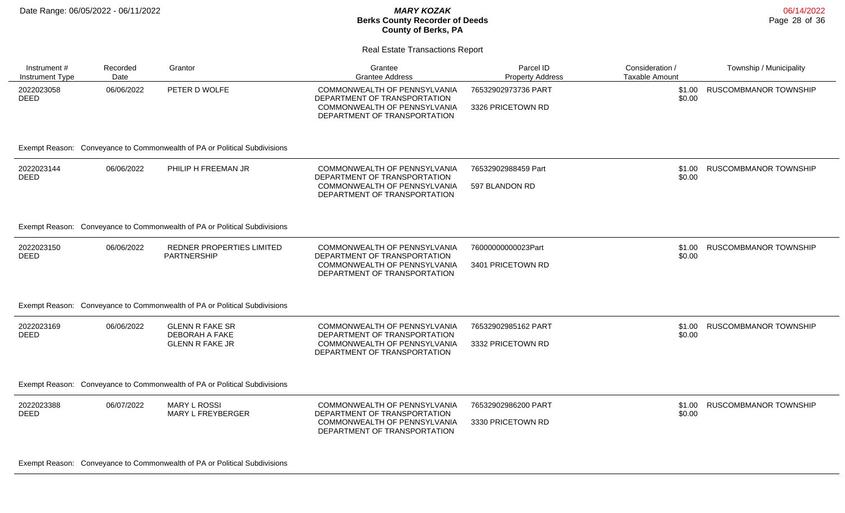#### **Berks County Recorder of Deeds County of Berks, PA**

| <b>Real Estate Transactions Report</b> |                  |                                                                                            |                                                                                                                              |                                          |                                   |                         |  |  |
|----------------------------------------|------------------|--------------------------------------------------------------------------------------------|------------------------------------------------------------------------------------------------------------------------------|------------------------------------------|-----------------------------------|-------------------------|--|--|
| Instrument #<br>Instrument Type        | Recorded<br>Date | Grantor                                                                                    | Grantee<br><b>Grantee Address</b>                                                                                            | Parcel ID<br><b>Property Address</b>     | Consideration /<br>Taxable Amount | Township / Municipality |  |  |
| 2022023058<br><b>DEED</b>              | 06/06/2022       | PETER D WOLFE<br>Exempt Reason: Conveyance to Commonwealth of PA or Political Subdivisions | COMMONWEALTH OF PENNSYLVANIA<br>DEPARTMENT OF TRANSPORTATION<br>COMMONWEALTH OF PENNSYLVANIA<br>DEPARTMENT OF TRANSPORTATION | 76532902973736 PART<br>3326 PRICETOWN RD | \$1.00<br>\$0.00                  | RUSCOMBMANOR TOWNSHIP   |  |  |
| 2022023144<br>DEED                     | 06/06/2022       | PHILIP H FREEMAN JR                                                                        | COMMONWEALTH OF PENNSYLVANIA<br>DEPARTMENT OF TRANSPORTATION<br>COMMONWEALTH OF PENNSYLVANIA<br>DEPARTMENT OF TRANSPORTATION | 76532902988459 Part<br>597 BLANDON RD    | \$1.00<br>\$0.00                  | RUSCOMBMANOR TOWNSHIP   |  |  |
|                                        |                  | Exempt Reason: Conveyance to Commonwealth of PA or Political Subdivisions                  |                                                                                                                              |                                          |                                   |                         |  |  |

| 2022023150<br>DEED | 06/06/2022 | REDNER PROPERTIES LIMITED<br><b>PARTNERSHIP</b> | COMMONWEALTH OF PENNSYLVANIA<br>DEPARTMENT OF TRANSPORTATION | 76000000000023Part | \$0.00 | \$1.00 RUSCOMBMANOR TOWNSHIP |
|--------------------|------------|-------------------------------------------------|--------------------------------------------------------------|--------------------|--------|------------------------------|
|                    |            |                                                 | COMMONWEALTH OF PENNSYLVANIA<br>DEPARTMENT OF TRANSPORTATION | 3401 PRICETOWN RD  |        |                              |

#### Exempt Reason: Conveyance to Commonwealth of PA or Political Subdivisions

| 2022023169<br><b>DEED</b> | 06/06/2022 | <b>GLENN R FAKE SR</b><br><b>DEBORAH A FAKE</b> | COMMONWEALTH OF PENNSYLVANIA<br>DEPARTMENT OF TRANSPORTATION | 76532902985162 PART | RUSCOMBMANOR TOWNSHIP<br>\$1.00<br>\$0.00 |
|---------------------------|------------|-------------------------------------------------|--------------------------------------------------------------|---------------------|-------------------------------------------|
|                           |            | GLENN R FAKE JR                                 | COMMONWEALTH OF PENNSYLVANIA                                 | 3332 PRICETOWN RD   |                                           |
|                           |            |                                                 | DEPARTMENT OF TRANSPORTATION                                 |                     |                                           |

#### Exempt Reason: Conveyance to Commonwealth of PA or Political Subdivisions

| 2022023388<br><b>DEED</b> | 06/07/2022 | MARY L ROSSI<br>MARY L FREYBERGER | COMMONWEALTH OF PENNSYLVANIA<br>DEPARTMENT OF TRANSPORTATION | 76532902986200 PART | ) RUSCOMBMANOR TOWNSHIP<br>\$1.00<br>\$0.00 |
|---------------------------|------------|-----------------------------------|--------------------------------------------------------------|---------------------|---------------------------------------------|
|                           |            |                                   | COMMONWEALTH OF PENNSYLVANIA<br>DEPARTMENT OF TRANSPORTATION | 3330 PRICETOWN RD   |                                             |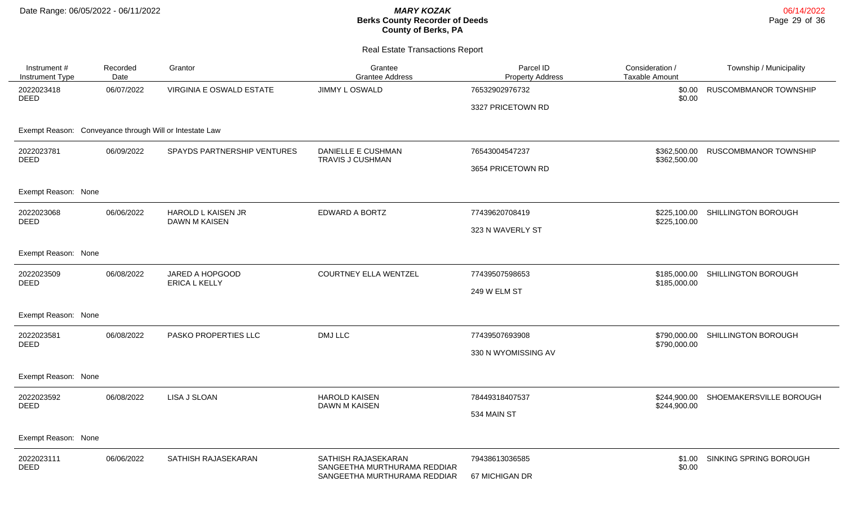| Instrument #<br>Instrument Type                         | Recorded<br>Date | Grantor                                    | Grantee<br><b>Grantee Address</b>                            | Parcel ID<br><b>Property Address</b> | Consideration /<br><b>Taxable Amount</b> | Township / Municipality          |
|---------------------------------------------------------|------------------|--------------------------------------------|--------------------------------------------------------------|--------------------------------------|------------------------------------------|----------------------------------|
| 2022023418<br><b>DEED</b>                               | 06/07/2022       | VIRGINIA E OSWALD ESTATE                   | JIMMY L OSWALD                                               | 76532902976732                       | \$0.00<br>\$0.00                         | RUSCOMBMANOR TOWNSHIP            |
|                                                         |                  |                                            |                                                              | 3327 PRICETOWN RD                    |                                          |                                  |
| Exempt Reason: Conveyance through Will or Intestate Law |                  |                                            |                                                              |                                      |                                          |                                  |
| 2022023781                                              | 06/09/2022       | SPAYDS PARTNERSHIP VENTURES                | DANIELLE E CUSHMAN<br><b>TRAVIS J CUSHMAN</b>                | 76543004547237                       | \$362,500.00                             | <b>RUSCOMBMANOR TOWNSHIP</b>     |
| <b>DEED</b>                                             |                  |                                            |                                                              | 3654 PRICETOWN RD                    | \$362,500.00                             |                                  |
| Exempt Reason: None                                     |                  |                                            |                                                              |                                      |                                          |                                  |
| 2022023068                                              | 06/06/2022       | HAROLD L KAISEN JR<br><b>DAWN M KAISEN</b> | EDWARD A BORTZ                                               | 77439620708419                       | \$225,100.00<br>\$225,100.00             | SHILLINGTON BOROUGH              |
| DEED                                                    |                  |                                            |                                                              | 323 N WAVERLY ST                     |                                          |                                  |
| Exempt Reason: None                                     |                  |                                            |                                                              |                                      |                                          |                                  |
| 2022023509<br><b>DEED</b>                               | 06/08/2022       | JARED A HOPGOOD<br><b>ERICA L KELLY</b>    | <b>COURTNEY ELLA WENTZEL</b>                                 | 77439507598653                       | \$185,000.00                             | \$185,000.00 SHILLINGTON BOROUGH |
|                                                         |                  |                                            |                                                              | 249 W ELM ST                         |                                          |                                  |
| Exempt Reason: None                                     |                  |                                            |                                                              |                                      |                                          |                                  |
| 2022023581<br><b>DEED</b>                               | 06/08/2022       | <b>PASKO PROPERTIES LLC</b>                | <b>DMJ LLC</b>                                               | 77439507693908                       | \$790,000.00<br>\$790,000.00             | SHILLINGTON BOROUGH              |
|                                                         |                  |                                            |                                                              | 330 N WYOMISSING AV                  |                                          |                                  |
| Exempt Reason: None                                     |                  |                                            |                                                              |                                      |                                          |                                  |
| 2022023592<br><b>DEED</b>                               | 06/08/2022       | LISA J SLOAN                               | <b>HAROLD KAISEN</b><br><b>DAWN M KAISEN</b>                 | 78449318407537                       | \$244,900.00<br>\$244,900.00             | SHOEMAKERSVILLE BOROUGH          |
|                                                         |                  |                                            |                                                              | 534 MAIN ST                          |                                          |                                  |
| Exempt Reason: None                                     |                  |                                            |                                                              |                                      |                                          |                                  |
| 2022023111<br><b>DEED</b>                               | 06/06/2022       | SATHISH RAJASEKARAN                        | SATHISH RAJASEKARAN                                          | 79438613036585                       | \$1.00<br>\$0.00                         | SINKING SPRING BOROUGH           |
|                                                         |                  |                                            | SANGEETHA MURTHURAMA REDDIAR<br>SANGEETHA MURTHURAMA REDDIAR | 67 MICHIGAN DR                       |                                          |                                  |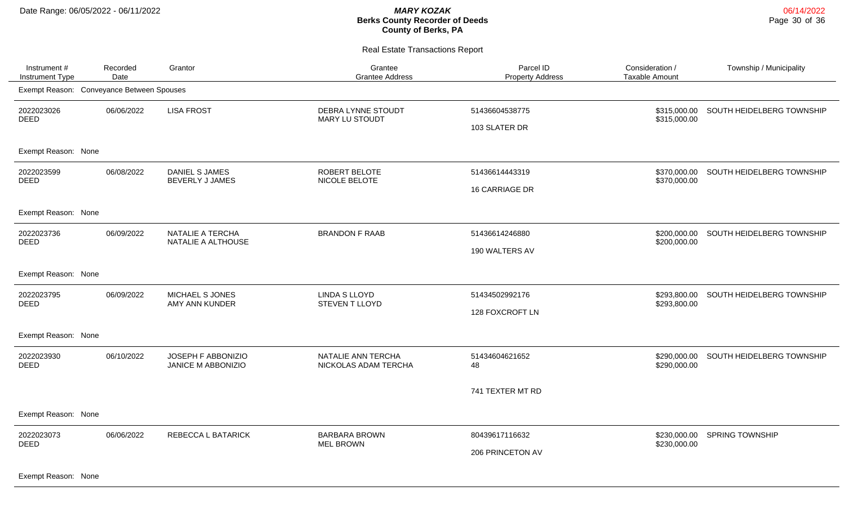Real Estate Transactions Report

| Instrument#<br>Instrument Type            | Recorded<br>Date | Grantor                                         | Grantee<br><b>Grantee Address</b>           | Parcel ID<br><b>Property Address</b> | Consideration /<br><b>Taxable Amount</b> | Township / Municipality   |  |  |
|-------------------------------------------|------------------|-------------------------------------------------|---------------------------------------------|--------------------------------------|------------------------------------------|---------------------------|--|--|
| Exempt Reason: Conveyance Between Spouses |                  |                                                 |                                             |                                      |                                          |                           |  |  |
| 2022023026<br><b>DEED</b>                 | 06/06/2022       | <b>LISA FROST</b>                               | DEBRA LYNNE STOUDT<br><b>MARY LU STOUDT</b> | 51436604538775<br>103 SLATER DR      | \$315,000.00<br>\$315,000.00             | SOUTH HEIDELBERG TOWNSHIP |  |  |
| Exempt Reason: None                       |                  |                                                 |                                             |                                      |                                          |                           |  |  |
| 2022023599<br><b>DEED</b>                 | 06/08/2022       | <b>DANIEL S JAMES</b><br><b>BEVERLY J JAMES</b> | ROBERT BELOTE<br>NICOLE BELOTE              | 51436614443319<br>16 CARRIAGE DR     | \$370,000.00<br>\$370,000.00             | SOUTH HEIDELBERG TOWNSHIP |  |  |
| Exempt Reason: None                       |                  |                                                 |                                             |                                      |                                          |                           |  |  |
| 2022023736<br><b>DEED</b>                 | 06/09/2022       | NATALIE A TERCHA<br>NATALIE A ALTHOUSE          | <b>BRANDON F RAAB</b>                       | 51436614246880<br>190 WALTERS AV     | \$200,000.00<br>\$200,000.00             | SOUTH HEIDELBERG TOWNSHIP |  |  |
| Exempt Reason: None                       |                  |                                                 |                                             |                                      |                                          |                           |  |  |
| 2022023795<br><b>DEED</b>                 | 06/09/2022       | MICHAEL S JONES<br>AMY ANN KUNDER               | <b>LINDA S LLOYD</b><br>STEVEN T LLOYD      | 51434502992176<br>128 FOXCROFT LN    | \$293,800.00<br>\$293,800.00             | SOUTH HEIDELBERG TOWNSHIP |  |  |
| Exempt Reason: None                       |                  |                                                 |                                             |                                      |                                          |                           |  |  |
| 2022023930<br><b>DEED</b>                 | 06/10/2022       | JOSEPH F ABBONIZIO<br>JANICE M ABBONIZIO        | NATALIE ANN TERCHA<br>NICKOLAS ADAM TERCHA  | 51434604621652<br>48                 | \$290,000.00<br>\$290,000.00             | SOUTH HEIDELBERG TOWNSHIP |  |  |
|                                           |                  |                                                 |                                             | 741 TEXTER MT RD                     |                                          |                           |  |  |
| Exempt Reason: None                       |                  |                                                 |                                             |                                      |                                          |                           |  |  |
| 2022023073<br>DEED                        | 06/06/2022       | REBECCA L BATARICK                              | <b>BARBARA BROWN</b><br><b>MEL BROWN</b>    | 80439617116632<br>206 PRINCETON AV   | \$230,000.00<br>\$230,000.00             | SPRING TOWNSHIP           |  |  |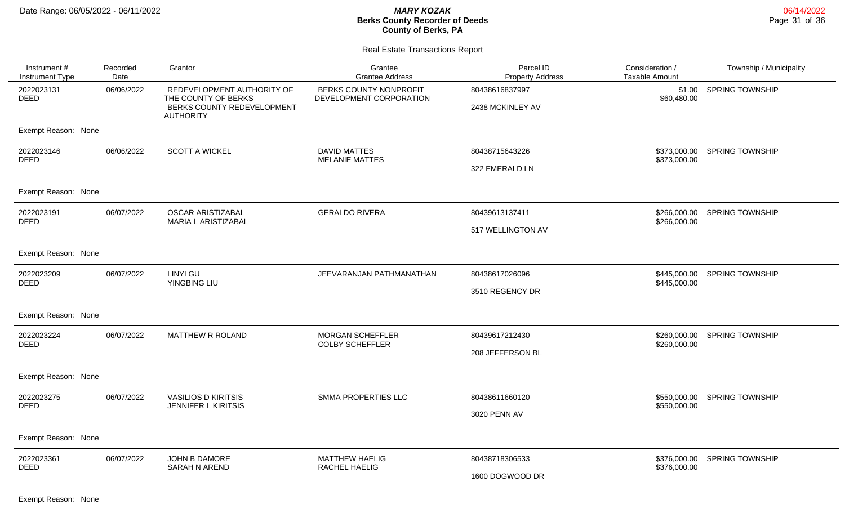#### Real Estate Transactions Report

| Instrument#<br>Instrument Type | Recorded<br>Date | Grantor                                                                                             | Grantee<br><b>Grantee Address</b>                 | Parcel ID<br><b>Property Address</b> | Consideration /<br><b>Taxable Amount</b> | Township / Municipality      |
|--------------------------------|------------------|-----------------------------------------------------------------------------------------------------|---------------------------------------------------|--------------------------------------|------------------------------------------|------------------------------|
| 2022023131<br><b>DEED</b>      | 06/06/2022       | REDEVELOPMENT AUTHORITY OF<br>THE COUNTY OF BERKS<br>BERKS COUNTY REDEVELOPMENT<br><b>AUTHORITY</b> | BERKS COUNTY NONPROFIT<br>DEVELOPMENT CORPORATION | 80438616837997<br>2438 MCKINLEY AV   | \$1.00<br>\$60,480.00                    | <b>SPRING TOWNSHIP</b>       |
| Exempt Reason: None            |                  |                                                                                                     |                                                   |                                      |                                          |                              |
| 2022023146<br><b>DEED</b>      | 06/06/2022       | <b>SCOTT A WICKEL</b>                                                                               | <b>DAVID MATTES</b><br><b>MELANIE MATTES</b>      | 80438715643226<br>322 EMERALD LN     | \$373,000.00<br>\$373,000.00             | <b>SPRING TOWNSHIP</b>       |
| Exempt Reason: None            |                  |                                                                                                     |                                                   |                                      |                                          |                              |
| 2022023191<br><b>DEED</b>      | 06/07/2022       | <b>OSCAR ARISTIZABAL</b><br>MARIA L ARISTIZABAL                                                     | <b>GERALDO RIVERA</b>                             | 80439613137411<br>517 WELLINGTON AV  | \$266,000.00<br>\$266,000.00             | <b>SPRING TOWNSHIP</b>       |
| Exempt Reason: None            |                  |                                                                                                     |                                                   |                                      |                                          |                              |
| 2022023209<br><b>DEED</b>      | 06/07/2022       | LINYI GU<br>YINGBING LIU                                                                            | JEEVARANJAN PATHMANATHAN                          | 80438617026096<br>3510 REGENCY DR    | \$445,000.00                             | \$445,000.00 SPRING TOWNSHIP |
| Exempt Reason: None            |                  |                                                                                                     |                                                   |                                      |                                          |                              |
| 2022023224<br><b>DEED</b>      | 06/07/2022       | MATTHEW R ROLAND                                                                                    | MORGAN SCHEFFLER<br><b>COLBY SCHEFFLER</b>        | 80439617212430<br>208 JEFFERSON BL   | \$260,000.00<br>\$260,000.00             | <b>SPRING TOWNSHIP</b>       |
| Exempt Reason: None            |                  |                                                                                                     |                                                   |                                      |                                          |                              |
| 2022023275<br><b>DEED</b>      | 06/07/2022       | <b>VASILIOS D KIRITSIS</b><br><b>JENNIFER L KIRITSIS</b>                                            | SMMA PROPERTIES LLC                               | 80438611660120<br>3020 PENN AV       | \$550,000.00                             | \$550,000.00 SPRING TOWNSHIP |
| Exempt Reason: None            |                  |                                                                                                     |                                                   |                                      |                                          |                              |
| 2022023361<br><b>DEED</b>      | 06/07/2022       | JOHN B DAMORE<br><b>SARAH N AREND</b>                                                               | <b>MATTHEW HAELIG</b><br>RACHEL HAELIG            | 80438718306533<br>1600 DOGWOOD DR    | \$376,000.00<br>\$376,000.00             | <b>SPRING TOWNSHIP</b>       |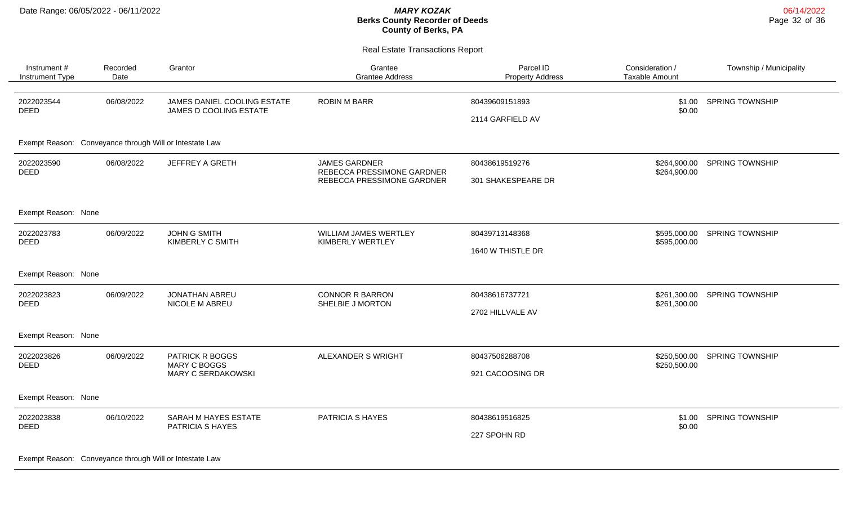Real Estate Transactions Report

| Instrument#<br>Instrument Type                          | Recorded<br>Date | Grantor                                               | Grantee<br><b>Grantee Address</b>                  | Parcel ID<br><b>Property Address</b> | Consideration /<br><b>Taxable Amount</b> | Township / Municipality |
|---------------------------------------------------------|------------------|-------------------------------------------------------|----------------------------------------------------|--------------------------------------|------------------------------------------|-------------------------|
| 2022023544<br><b>DEED</b>                               | 06/08/2022       | JAMES DANIEL COOLING ESTATE<br>JAMES D COOLING ESTATE | <b>ROBIN M BARR</b>                                | 80439609151893<br>2114 GARFIELD AV   | \$1.00<br>\$0.00                         | <b>SPRING TOWNSHIP</b>  |
| Exempt Reason: Conveyance through Will or Intestate Law |                  |                                                       |                                                    |                                      |                                          |                         |
| 2022023590<br><b>DEED</b>                               | 06/08/2022       | JEFFREY A GRETH                                       | <b>JAMES GARDNER</b><br>REBECCA PRESSIMONE GARDNER | 80438619519276                       | \$264,900.00<br>\$264,900.00             | <b>SPRING TOWNSHIP</b>  |
|                                                         |                  |                                                       | REBECCA PRESSIMONE GARDNER                         | 301 SHAKESPEARE DR                   |                                          |                         |
| Exempt Reason: None                                     |                  |                                                       |                                                    |                                      |                                          |                         |
| 2022023783<br><b>DEED</b>                               | 06/09/2022       | <b>JOHN G SMITH</b><br>KIMBERLY C SMITH               | WILLIAM JAMES WERTLEY<br>KIMBERLY WERTLEY          | 80439713148368                       | \$595,000.00<br>\$595,000.00             | <b>SPRING TOWNSHIP</b>  |
|                                                         |                  |                                                       | 1640 W THISTLE DR                                  |                                      |                                          |                         |
| Exempt Reason: None                                     |                  |                                                       |                                                    |                                      |                                          |                         |
| 2022023823<br><b>DEED</b>                               | 06/09/2022       | <b>JONATHAN ABREU</b><br>NICOLE M ABREU               | <b>CONNOR R BARRON</b><br>SHELBIE J MORTON         | 80438616737721                       | \$261,300.00<br>\$261,300.00             | <b>SPRING TOWNSHIP</b>  |
|                                                         |                  |                                                       |                                                    | 2702 HILLVALE AV                     |                                          |                         |
| Exempt Reason: None                                     |                  |                                                       |                                                    |                                      |                                          |                         |
| 2022023826<br><b>DEED</b>                               | 06/09/2022       | PATRICK R BOGGS<br><b>MARY C BOGGS</b>                | ALEXANDER S WRIGHT                                 | 80437506288708                       | \$250,500.00<br>\$250,500.00             | <b>SPRING TOWNSHIP</b>  |
|                                                         |                  | MARY C SERDAKOWSKI                                    |                                                    | 921 CACOOSING DR                     |                                          |                         |
| Exempt Reason: None                                     |                  |                                                       |                                                    |                                      |                                          |                         |
| 2022023838<br><b>DEED</b>                               | 06/10/2022       | <b>SARAH M HAYES ESTATE</b>                           | PATRICIA S HAYES                                   | 80438619516825                       | \$1.00<br>\$0.00                         | SPRING TOWNSHIP         |
|                                                         | PATRICIA S HAYES |                                                       | 227 SPOHN RD                                       |                                      |                                          |                         |

06/14/2022 Page 32 of 36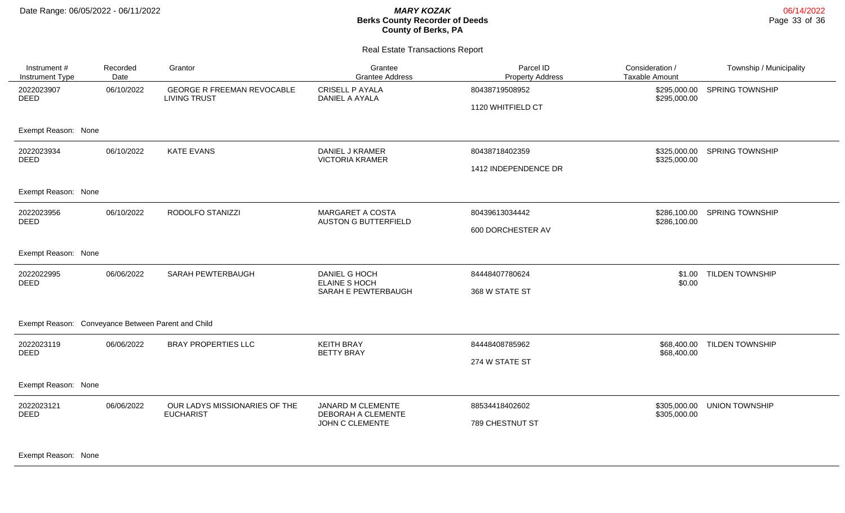#### Real Estate Transactions Report

| Instrument #<br>Instrument Type                    | Recorded<br>Date                                                | Grantor                                                  | Grantee<br><b>Grantee Address</b>                      | Parcel ID<br><b>Property Address</b> | Consideration /<br><b>Taxable Amount</b> | Township / Municipality |  |  |
|----------------------------------------------------|-----------------------------------------------------------------|----------------------------------------------------------|--------------------------------------------------------|--------------------------------------|------------------------------------------|-------------------------|--|--|
| 2022023907<br><b>DEED</b>                          | 06/10/2022                                                      | <b>GEORGE R FREEMAN REVOCABLE</b><br><b>LIVING TRUST</b> | <b>CRISELL P AYALA</b><br>DANIEL A AYALA               | 80438719508952                       | \$295,000.00<br>\$295,000.00             | <b>SPRING TOWNSHIP</b>  |  |  |
|                                                    |                                                                 |                                                          |                                                        | 1120 WHITFIELD CT                    |                                          |                         |  |  |
| Exempt Reason: None                                |                                                                 |                                                          |                                                        |                                      |                                          |                         |  |  |
| 2022023934<br><b>DEED</b>                          | 06/10/2022                                                      | <b>KATE EVANS</b>                                        | DANIEL J KRAMER<br><b>VICTORIA KRAMER</b>              | 80438718402359                       | \$325,000.00<br>\$325,000.00             | <b>SPRING TOWNSHIP</b>  |  |  |
|                                                    |                                                                 |                                                          |                                                        | 1412 INDEPENDENCE DR                 |                                          |                         |  |  |
| Exempt Reason: None                                |                                                                 |                                                          |                                                        |                                      |                                          |                         |  |  |
| 2022023956<br><b>DEED</b>                          | 06/10/2022                                                      | RODOLFO STANIZZI                                         | <b>MARGARET A COSTA</b><br><b>AUSTON G BUTTERFIELD</b> | 80439613034442                       | \$286,100.00<br>\$286,100.00             | <b>SPRING TOWNSHIP</b>  |  |  |
|                                                    |                                                                 |                                                          |                                                        | 600 DORCHESTER AV                    |                                          |                         |  |  |
| Exempt Reason: None                                |                                                                 |                                                          |                                                        |                                      |                                          |                         |  |  |
| 2022022995<br><b>DEED</b>                          | 06/06/2022                                                      | SARAH PEWTERBAUGH                                        | DANIEL G HOCH<br><b>ELAINE S HOCH</b>                  | 84448407780624                       | \$1.00<br>\$0.00                         | <b>TILDEN TOWNSHIP</b>  |  |  |
|                                                    |                                                                 |                                                          | SARAH E PEWTERBAUGH                                    | 368 W STATE ST                       |                                          |                         |  |  |
| Exempt Reason: Conveyance Between Parent and Child |                                                                 |                                                          |                                                        |                                      |                                          |                         |  |  |
| 2022023119<br><b>DEED</b>                          | 06/06/2022                                                      | <b>BRAY PROPERTIES LLC</b>                               | <b>KEITH BRAY</b><br><b>BETTY BRAY</b>                 | 84448408785962                       | \$68,400.00<br>\$68,400.00               | <b>TILDEN TOWNSHIP</b>  |  |  |
|                                                    |                                                                 |                                                          |                                                        | 274 W STATE ST                       |                                          |                         |  |  |
|                                                    | Exempt Reason: None                                             |                                                          |                                                        |                                      |                                          |                         |  |  |
| 2022023121<br>DEED                                 | OUR LADYS MISSIONARIES OF THE<br>06/06/2022<br><b>EUCHARIST</b> |                                                          | JANARD M CLEMENTE<br>DEBORAH A CLEMENTE                | 88534418402602                       | \$305,000.00                             | <b>UNION TOWNSHIP</b>   |  |  |
|                                                    |                                                                 | JOHN C CLEMENTE                                          | 789 CHESTNUT ST                                        | \$305,000.00                         |                                          |                         |  |  |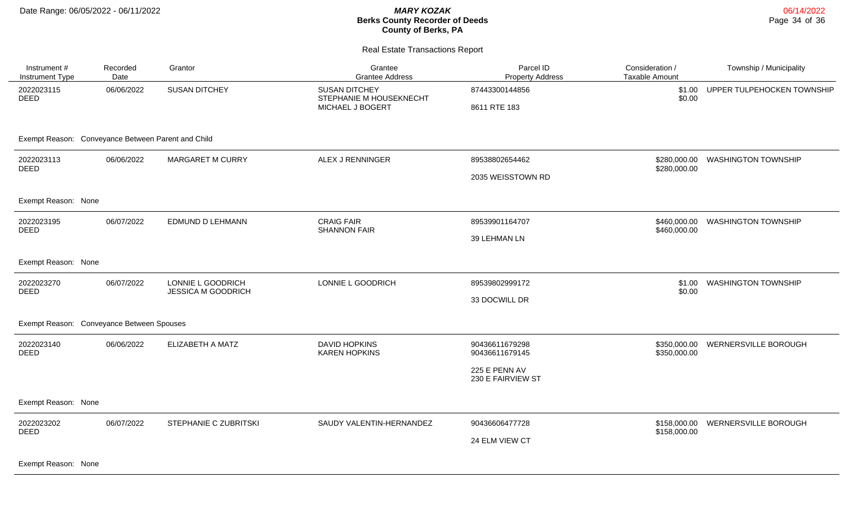Instrument # Instrument Type

2022023115 DEED

# **Berks Cou County of Berks, PA**

|                      | MARY KOZAK<br><b>Berks County Recorder of Deeds</b><br><b>County of Berks, PA</b> |                                      |                                   | 06/14/2022<br>Page 34 of 36 |  |
|----------------------|-----------------------------------------------------------------------------------|--------------------------------------|-----------------------------------|-----------------------------|--|
|                      | <b>Real Estate Transactions Report</b>                                            |                                      |                                   |                             |  |
| Grantor              | Grantee<br><b>Grantee Address</b>                                                 | Parcel ID<br><b>Property Address</b> | Consideration /<br>Taxable Amount | Township / Municipality     |  |
| <b>SUSAN DITCHEY</b> | <b>SUSAN DITCHEY</b><br>STEPHANIE M HOUSEKNECHT                                   | 87443300144856                       | \$1.00<br>\$0.00                  | UPPER TULPEHOCKEN TOWNSHIP  |  |
|                      | MICHAEL J BOGERT                                                                  | 8611 RTE 183                         |                                   |                             |  |

#### Exempt Reason: Conveyance Between Parent and Child

Recorded Date

06/06/2022 SUSAN DITCHEY SUSAN DITCHEY

| 2022023113<br><b>DEED</b>                 | 06/06/2022 | <b>MARGARET M CURRY</b>                        | ALEX J RENNINGER                             | 89538802654462                     | \$280,000.00<br>\$280,000.00 | <b>WASHINGTON TOWNSHIP</b> |  |
|-------------------------------------------|------------|------------------------------------------------|----------------------------------------------|------------------------------------|------------------------------|----------------------------|--|
|                                           |            |                                                |                                              | 2035 WEISSTOWN RD                  |                              |                            |  |
| Exempt Reason: None                       |            |                                                |                                              |                                    |                              |                            |  |
| 2022023195<br><b>DEED</b>                 | 06/07/2022 | EDMUND D LEHMANN                               | <b>CRAIG FAIR</b><br><b>SHANNON FAIR</b>     | 89539901164707                     | \$460,000.00<br>\$460,000.00 | <b>WASHINGTON TOWNSHIP</b> |  |
|                                           |            |                                                |                                              | 39 LEHMAN LN                       |                              |                            |  |
| Exempt Reason: None                       |            |                                                |                                              |                                    |                              |                            |  |
| 2022023270<br><b>DEED</b>                 | 06/07/2022 | LONNIE L GOODRICH<br><b>JESSICA M GOODRICH</b> | LONNIE L GOODRICH                            | 89539802999172                     | \$1.00<br>\$0.00             | <b>WASHINGTON TOWNSHIP</b> |  |
|                                           |            |                                                |                                              | 33 DOCWILL DR                      |                              |                            |  |
| Exempt Reason: Conveyance Between Spouses |            |                                                |                                              |                                    |                              |                            |  |
| 2022023140<br><b>DEED</b>                 | 06/06/2022 | ELIZABETH A MATZ                               | <b>DAVID HOPKINS</b><br><b>KAREN HOPKINS</b> | 90436611679298<br>90436611679145   | \$350,000.00<br>\$350,000.00 | WERNERSVILLE BOROUGH       |  |
|                                           |            |                                                |                                              | 225 E PENN AV<br>230 E FAIRVIEW ST |                              |                            |  |
| Exempt Reason: None                       |            |                                                |                                              |                                    |                              |                            |  |
| 2022023202<br><b>DEED</b>                 | 06/07/2022 | STEPHANIE C ZUBRITSKI                          | SAUDY VALENTIN-HERNANDEZ                     | 90436606477728                     | \$158,000.00<br>\$158,000.00 | WERNERSVILLE BOROUGH       |  |
|                                           |            |                                                |                                              | 24 ELM VIEW CT                     |                              |                            |  |
|                                           |            |                                                |                                              |                                    |                              |                            |  |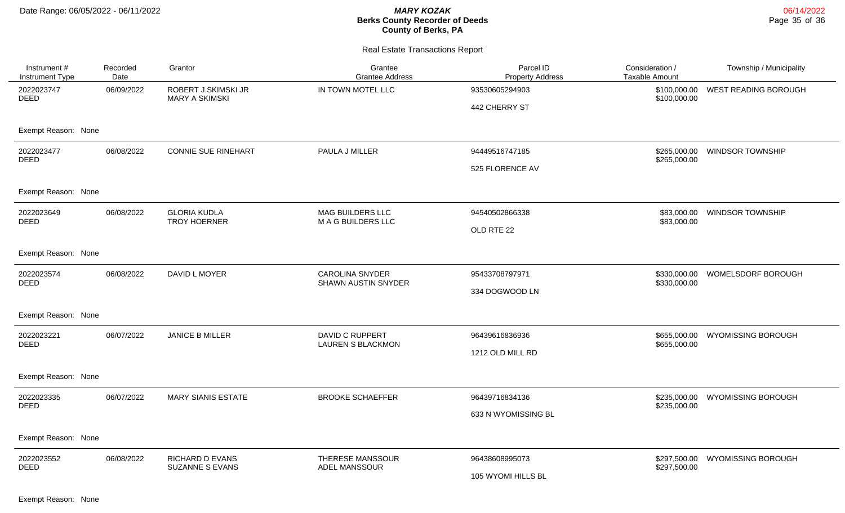#### Real Estate Transactions Report

| Instrument #<br>Instrument Type         | Recorded<br>Date | Grantor                                          | Grantee<br><b>Grantee Address</b>                  | Parcel ID<br><b>Property Address</b> | Consideration /<br>Taxable Amount | Township / Municipality   |
|-----------------------------------------|------------------|--------------------------------------------------|----------------------------------------------------|--------------------------------------|-----------------------------------|---------------------------|
| 06/09/2022<br>2022023747<br><b>DEED</b> |                  | ROBERT J SKIMSKI JR<br><b>MARY A SKIMSKI</b>     | IN TOWN MOTEL LLC                                  | 93530605294903                       | \$100,000.00<br>\$100,000.00      | WEST READING BOROUGH      |
|                                         |                  |                                                  | 442 CHERRY ST                                      |                                      |                                   |                           |
| Exempt Reason: None                     |                  |                                                  |                                                    |                                      |                                   |                           |
| 2022023477<br>06/08/2022                |                  | <b>CONNIE SUE RINEHART</b>                       | PAULA J MILLER                                     | 94449516747185                       | \$265,000.00<br>\$265,000.00      | <b>WINDSOR TOWNSHIP</b>   |
| <b>DEED</b>                             |                  |                                                  |                                                    | 525 FLORENCE AV                      |                                   |                           |
| Exempt Reason: None                     |                  |                                                  |                                                    |                                      |                                   |                           |
| 2022023649<br><b>DEED</b>               | 06/08/2022       | <b>GLORIA KUDLA</b><br><b>TROY HOERNER</b>       | <b>MAG BUILDERS LLC</b><br>M A G BUILDERS LLC      | 94540502866338                       | \$83,000.00<br>\$83,000.00        | <b>WINDSOR TOWNSHIP</b>   |
|                                         |                  |                                                  |                                                    | OLD RTE 22                           |                                   |                           |
| Exempt Reason: None                     |                  |                                                  |                                                    |                                      |                                   |                           |
| 2022023574<br><b>DEED</b>               | 06/08/2022       | DAVID L MOYER                                    | <b>CAROLINA SNYDER</b><br>SHAWN AUSTIN SNYDER      | 95433708797971                       | \$330,000.00<br>\$330,000.00      | WOMELSDORF BOROUGH        |
|                                         |                  |                                                  |                                                    | 334 DOGWOOD LN                       |                                   |                           |
| Exempt Reason: None                     |                  |                                                  |                                                    |                                      |                                   |                           |
| 2022023221<br><b>DEED</b>               | 06/07/2022       | <b>JANICE B MILLER</b>                           | <b>DAVID C RUPPERT</b><br><b>LAUREN S BLACKMON</b> | 96439616836936                       | \$655,000.00<br>\$655,000.00      | <b>WYOMISSING BOROUGH</b> |
|                                         |                  |                                                  |                                                    | 1212 OLD MILL RD                     |                                   |                           |
| Exempt Reason: None                     |                  |                                                  |                                                    |                                      |                                   |                           |
| 2022023335<br><b>DEED</b>               | 06/07/2022       | <b>MARY SIANIS ESTATE</b>                        | <b>BROOKE SCHAEFFER</b>                            | 96439716834136                       | \$235,000.00<br>\$235,000.00      | <b>WYOMISSING BOROUGH</b> |
|                                         |                  |                                                  |                                                    | 633 N WYOMISSING BL                  |                                   |                           |
| Exempt Reason: None                     |                  |                                                  |                                                    |                                      |                                   |                           |
| 2022023552<br><b>DEED</b>               | 06/08/2022       | <b>RICHARD D EVANS</b><br><b>SUZANNE S EVANS</b> | THERESE MANSSOUR                                   | 96438608995073                       | \$297,500.00<br>\$297,500.00      | <b>WYOMISSING BOROUGH</b> |
|                                         |                  |                                                  | ADEL MANSSOUR                                      | 105 WYOMI HILLS BL                   |                                   |                           |